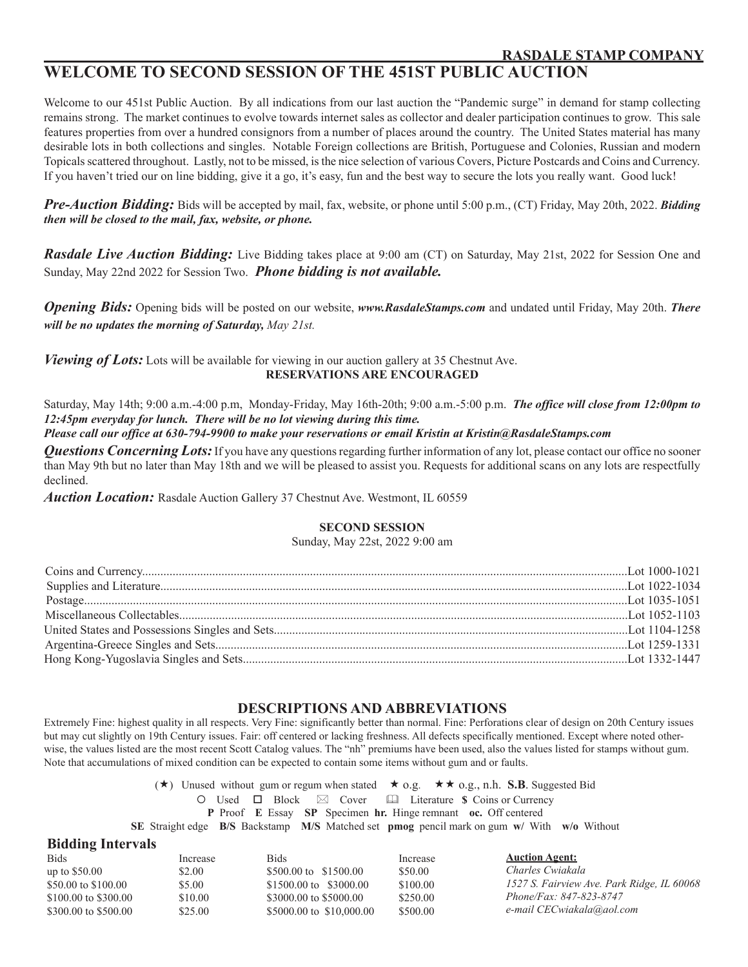### **WELCOME TO SECOND SESSION OF THE 451ST PUBLIC AUCTION**

Welcome to our 451st Public Auction. By all indications from our last auction the "Pandemic surge" in demand for stamp collecting remains strong. The market continues to evolve towards internet sales as collector and dealer participation continues to grow. This sale features properties from over a hundred consignors from a number of places around the country. The United States material has many desirable lots in both collections and singles. Notable Foreign collections are British, Portuguese and Colonies, Russian and modern Topicals scattered throughout. Lastly, not to be missed, is the nice selection of various Covers, Picture Postcards and Coins and Currency. If you haven't tried our on line bidding, give it a go, it's easy, fun and the best way to secure the lots you really want. Good luck!

*Pre-Auction Bidding:* Bids will be accepted by mail, fax, website, or phone until 5:00 p.m., (CT) Friday, May 20th, 2022. *Bidding then will be closed to the mail, fax, website, or phone.*

*Rasdale Live Auction Bidding:* Live Bidding takes place at 9:00 am (CT) on Saturday, May 21st, 2022 for Session One and Sunday, May 22nd 2022 for Session Two. *Phone bidding is not available.*

*Opening Bids:* Opening bids will be posted on our website, *www.RasdaleStamps.com* and undated until Friday, May 20th. *There will be no updates the morning of Saturday, May 21st.*

*Viewing of Lots:* Lots will be available for viewing in our auction gallery at 35 Chestnut Ave. **RESERVATIONS ARE ENCOURAGED**

Saturday, May 14th; 9:00 a.m.-4:00 p.m, Monday-Friday, May 16th-20th; 9:00 a.m.-5:00 p.m. *The office will close from 12:00pm to 12:45pm everyday for lunch. There will be no lot viewing during this time.*

*Please call our office at 630-794-9900 to make your reservations or email Kristin at Kristin@RasdaleStamps.com*

*Questions Concerning Lots:* If you have any questions regarding further information of any lot, please contact our office no sooner than May 9th but no later than May 18th and we will be pleased to assist you. Requests for additional scans on any lots are respectfully declined.

*Auction Location:* Rasdale Auction Gallery 37 Chestnut Ave. Westmont, IL 60559

**Bidding Intervals**

#### **SECOND SESSION**

Sunday, May 22st, 2022 9:00 am

#### **DESCRIPTIONS AND ABBREVIATIONS**

Extremely Fine: highest quality in all respects. Very Fine: significantly better than normal. Fine: Perforations clear of design on 20th Century issues but may cut slightly on 19th Century issues. Fair: off centered or lacking freshness. All defects specifically mentioned. Except where noted otherwise, the values listed are the most recent Scott Catalog values. The "nh" premiums have been used, also the values listed for stamps without gum. Note that accumulations of mixed condition can be expected to contain some items without gum and or faults.

> $(\star)$  Unused without gum or regum when stated  $\star$  o.g.  $\star \star$  o.g., n.h. **S.B**. Suggested Bid O Used □ Block  $\boxtimes$  Cover **as Literature \$** Coins or Currency **P** Proof **E** Essay **SP** Specimen **hr.** Hinge remnant **oc.** Off centered **SE** Straight edge **B/S** Backstamp **M/S** Matched set **pmog** pencil mark on gum **w/** With **w/o** Without

| Increase | Bids                            | Increase | <b>Auction Agent:</b>                      |
|----------|---------------------------------|----------|--------------------------------------------|
| \$2.00   | \$500.00 to \$1500.00           | \$50.00  | Charles Cwiakala                           |
| \$5.00   | $$1500.00 \text{ to } $3000.00$ | \$100.00 | 1527 S. Fairview Ave. Park Ridge, IL 60068 |
| \$10.00  | \$3000.00 to \$5000.00          | \$250.00 | Phone/Fax: 847-823-8747                    |
| \$25.00  | \$5000.00 to \$10,000.00        | \$500.00 | e-mail CECwiakala@aol.com                  |
| P1       |                                 |          |                                            |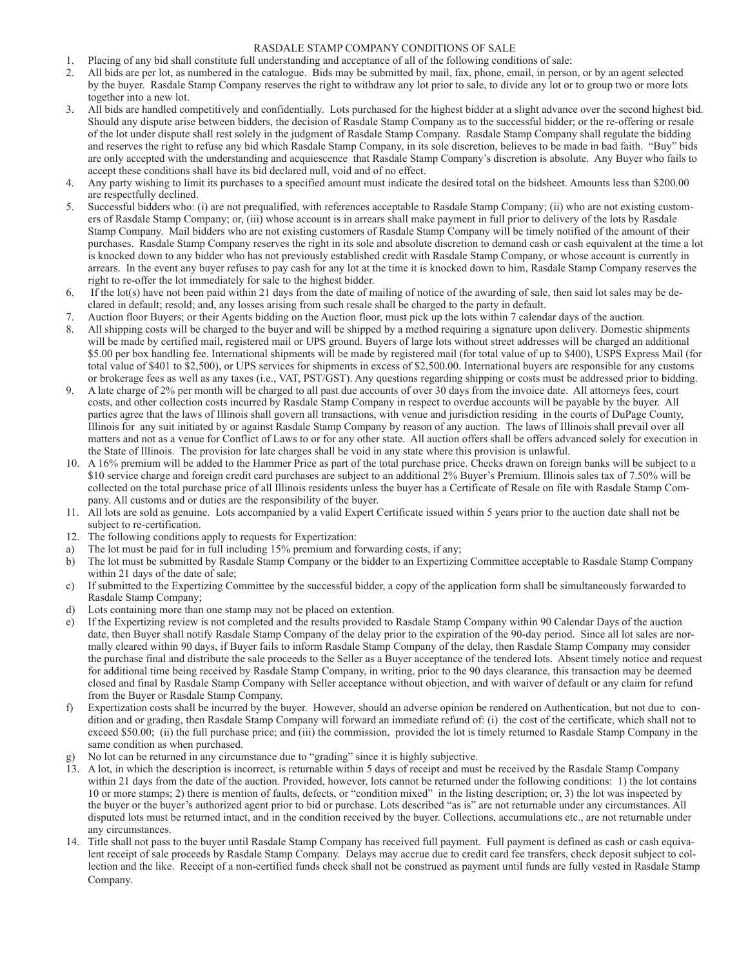#### RASDALE STAMP COMPANY CONDITIONS OF SALE

- **RASDALE STAMP COMPANY I CONDITIONS OF SALE**<br>1. Placing of any bid shall constitute full understanding and acceptance of all of the following conditions of sale:
	- 2. All bids are per lot, as numbered in the catalogue. Bids may be submitted by mail, fax, phone, email, in person, or by an agent selected by the buyer. Rasdale Stamp Company reserves the right to withdraw any lot prior to sale, to divide any lot or to group two or more lots together into a new lot.
	- 3. All bids are handled competitively and confidentially. Lots purchased for the highest bidder at a slight advance over the second highest bid. Should any dispute arise between bidders, the decision of Rasdale Stamp Company as to the successful bidder; or the re-offering or resale of the lot under dispute shall rest solely in the judgment of Rasdale Stamp Company. Rasdale Stamp Company shall regulate the bidding and reserves the right to refuse any bid which Rasdale Stamp Company, in its sole discretion, believes to be made in bad faith. "Buy" bids are only accepted with the understanding and acquiescence that Rasdale Stamp Company's discretion is absolute. Any Buyer who fails to accept these conditions shall have its bid declared null, void and of no effect.
	- 4. Any party wishing to limit its purchases to a specified amount must indicate the desired total on the bidsheet. Amounts less than \$200.00 are respectfully declined.
	- 5. Successful bidders who: (i) are not prequalified, with references acceptable to Rasdale Stamp Company; (ii) who are not existing customers of Rasdale Stamp Company; or, (iii) whose account is in arrears shall make payment in full prior to delivery of the lots by Rasdale Stamp Company. Mail bidders who are not existing customers of Rasdale Stamp Company will be timely notified of the amount of their purchases. Rasdale Stamp Company reserves the right in its sole and absolute discretion to demand cash or cash equivalent at the time a lot is knocked down to any bidder who has not previously established credit with Rasdale Stamp Company, or whose account is currently in arrears. In the event any buyer refuses to pay cash for any lot at the time it is knocked down to him, Rasdale Stamp Company reserves the right to re-offer the lot immediately for sale to the highest bidder.
	- 6. If the lot(s) have not been paid within 21 days from the date of mailing of notice of the awarding of sale, then said lot sales may be declared in default; resold; and, any losses arising from such resale shall be charged to the party in default.
	- 7. Auction floor Buyers; or their Agents bidding on the Auction floor, must pick up the lots within 7 calendar days of the auction. 8. All shipping costs will be charged to the buyer and will be shipped by a method requiring a signature upon delivery. Domestic shipments will be made by certified mail, registered mail or UPS ground. Buyers of large lots without street addresses will be charged an additional \$5.00 per box handling fee. International shipments will be made by registered mail (for total value of up to \$400), USPS Express Mail (for total value of \$401 to \$2,500), or UPS services for shipments in excess of \$2,500.00. International buyers are responsible for any customs
	- or brokerage fees as well as any taxes (i.e., VAT, PST/GST). Any questions regarding shipping or costs must be addressed prior to bidding. 9. A late charge of 2% per month will be charged to all past due accounts of over 30 days from the invoice date. All attorneys fees, court costs, and other collection costs incurred by Rasdale Stamp Company in respect to overdue accounts will be payable by the buyer. All parties agree that the laws of Illinois shall govern all transactions, with venue and jurisdiction residing in the courts of DuPage County, Illinois for any suit initiated by or against Rasdale Stamp Company by reason of any auction. The laws of Illinois shall prevail over all matters and not as a venue for Conflict of Laws to or for any other state. All auction offers shall be offers advanced solely for execution in the State of Illinois. The provision for late charges shall be void in any state where this provision is unlawful.
	- 10. A 16% premium will be added to the Hammer Price as part of the total purchase price. Checks drawn on foreign banks will be subject to a \$10 service charge and foreign credit card purchases are subject to an additional 2% Buyer's Premium. Illinois sales tax of 7.50% will be collected on the total purchase price of all Illinois residents unless the buyer has a Certificate of Resale on file with Rasdale Stamp Company. All customs and or duties are the responsibility of the buyer.
	- 11. All lots are sold as genuine. Lots accompanied by a valid Expert Certificate issued within 5 years prior to the auction date shall not be subject to re-certification.
	- 12. The following conditions apply to requests for Expertization:
	- a) The lot must be paid for in full including 15% premium and forwarding costs, if any;
	- b) The lot must be submitted by Rasdale Stamp Company or the bidder to an Expertizing Committee acceptable to Rasdale Stamp Company within 21 days of the date of sale;
	- c) If submitted to the Expertizing Committee by the successful bidder, a copy of the application form shall be simultaneously forwarded to Rasdale Stamp Company;
	- d) Lots containing more than one stamp may not be placed on extention.
	- e) If the Expertizing review is not completed and the results provided to Rasdale Stamp Company within 90 Calendar Days of the auction date, then Buyer shall notify Rasdale Stamp Company of the delay prior to the expiration of the 90-day period. Since all lot sales are normally cleared within 90 days, if Buyer fails to inform Rasdale Stamp Company of the delay, then Rasdale Stamp Company may consider the purchase final and distribute the sale proceeds to the Seller as a Buyer acceptance of the tendered lots. Absent timely notice and request for additional time being received by Rasdale Stamp Company, in writing, prior to the 90 days clearance, this transaction may be deemed closed and final by Rasdale Stamp Company with Seller acceptance without objection, and with waiver of default or any claim for refund from the Buyer or Rasdale Stamp Company.
	- f) Expertization costs shall be incurred by the buyer. However, should an adverse opinion be rendered on Authentication, but not due to condition and or grading, then Rasdale Stamp Company will forward an immediate refund of: (i) the cost of the certificate, which shall not to exceed \$50.00; (ii) the full purchase price; and (iii) the commission, provided the lot is timely returned to Rasdale Stamp Company in the same condition as when purchased.
	- No lot can be returned in any circumstance due to "grading" since it is highly subjective.
	- 13. A lot, in which the description is incorrect, is returnable within 5 days of receipt and must be received by the Rasdale Stamp Company within 21 days from the date of the auction. Provided, however, lots cannot be returned under the following conditions: 1) the lot contains 10 or more stamps; 2) there is mention of faults, defects, or "condition mixed" in the listing description; or, 3) the lot was inspected by the buyer or the buyer's authorized agent prior to bid or purchase. Lots described "as is" are not returnable under any circumstances. All disputed lots must be returned intact, and in the condition received by the buyer. Collections, accumulations etc., are not returnable under any circumstances.
	- 14. Title shall not pass to the buyer until Rasdale Stamp Company has received full payment. Full payment is defined as cash or cash equivalent receipt of sale proceeds by Rasdale Stamp Company. Delays may accrue due to credit card fee transfers, check deposit subject to collection and the like. Receipt of a non-certified funds check shall not be construed as payment until funds are fully vested in Rasdale Stamp Company.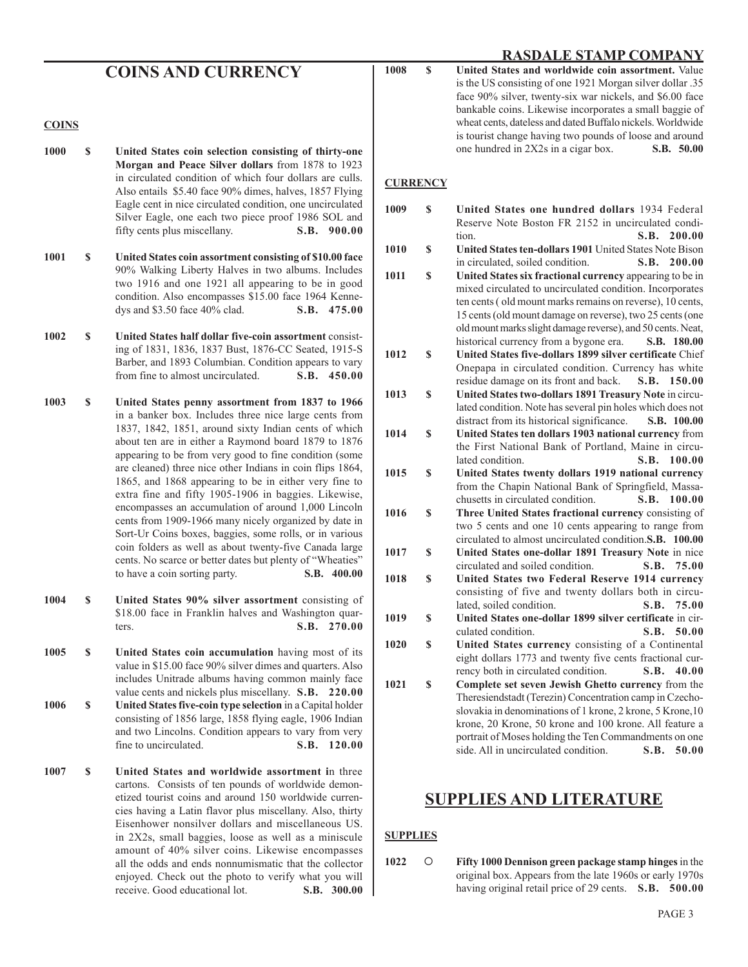| <b>COINS AND CURRENCY</b> | 1008 | <b>United States a</b><br>is the US consist |
|---------------------------|------|---------------------------------------------|

#### **COINS**

- **1000 \$ United States coin selection consisting of thirty-one Morgan and Peace Silver dollars** from 1878 to 1923 in circulated condition of which four dollars are culls. Also entails \$5.40 face 90% dimes, halves, 1857 Flying Eagle cent in nice circulated condition, one uncirculated Silver Eagle, one each two piece proof 1986 SOL and fifty cents plus miscellany. **S.B. 900.00**
- **1001 \$ United States coin assortment consisting of \$10.00 face**  90% Walking Liberty Halves in two albums. Includes two 1916 and one 1921 all appearing to be in good condition. Also encompasses \$15.00 face 1964 Kennedys and \$3.50 face 40% clad. **S.B. 475.00**
- **1002 \$ United States half dollar five-coin assortment** consisting of 1831, 1836, 1837 Bust, 1876-CC Seated, 1915-S Barber, and 1893 Columbian. Condition appears to vary<br>from fine to almost uncirculated. **S.B. 450.00** from fine to almost uncirculated.
- **1003 \$ United States penny assortment from 1837 to 1966**  in a banker box. Includes three nice large cents from 1837, 1842, 1851, around sixty Indian cents of which about ten are in either a Raymond board 1879 to 1876 appearing to be from very good to fine condition (some are cleaned) three nice other Indians in coin flips 1864, 1865, and 1868 appearing to be in either very fine to extra fine and fifty 1905-1906 in baggies. Likewise, encompasses an accumulation of around 1,000 Lincoln cents from 1909-1966 many nicely organized by date in Sort-Ur Coins boxes, baggies, some rolls, or in various coin folders as well as about twenty-five Canada large cents. No scarce or better dates but plenty of "Wheaties" to have a coin sorting party. **S.B. 400.00**
- **1004 \$ United States 90% silver assortment** consisting of \$18.00 face in Franklin halves and Washington quarters. **S.B. 270.00**
- **1005 \$ United States coin accumulation** having most of its value in \$15.00 face 90% silver dimes and quarters. Also includes Unitrade albums having common mainly face value cents and nickels plus miscellany. **S.B. 220.00**
- **1006 \$ United States five-coin type selection** in a Capital holder consisting of 1856 large, 1858 flying eagle, 1906 Indian and two Lincolns. Condition appears to vary from very fine to uncirculated. **S.B. 120.00**
- **1007 \$ United States and worldwide assortment i**n three cartons. Consists of ten pounds of worldwide demonetized tourist coins and around 150 worldwide currencies having a Latin flavor plus miscellany. Also, thirty Eisenhower nonsilver dollars and miscellaneous US. in 2X2s, small baggies, loose as well as a miniscule amount of 40% silver coins. Likewise encompasses all the odds and ends nonnumismatic that the collector enjoyed. Check out the photo to verify what you will receive. Good educational lot. **S.B. 300.00**

| 1008 | S. | United States and worldwide coin assortment. Value         |
|------|----|------------------------------------------------------------|
|      |    | is the US consisting of one 1921 Morgan silver dollar .35  |
|      |    | face 90% silver, twenty-six war nickels, and \$6.00 face   |
|      |    | bankable coins. Likewise incorporates a small baggie of    |
|      |    | wheat cents, dateless and dated Buffalo nickels. Worldwide |
|      |    | is tourist change having two pounds of loose and around    |
|      |    | one hundred in 2X2s in a cigar box.<br>S.B. 50.00          |
|      |    |                                                            |

#### **CURRENCY**

**1009 \$ United States one hundred dollars** 1934 Federal Reserve Note Boston FR 2152 in uncirculated condition. **S.B. 200.00 1010 \$ United States ten-dollars 1901** United States Note Bison in circulated, soiled condition. **S.B. 200.00 1011 \$ United States six fractional currency** appearing to be in mixed circulated to uncirculated condition. Incorporates ten cents ( old mount marks remains on reverse), 10 cents, 15 cents (old mount damage on reverse), two 25 cents (one old mount marks slight damage reverse), and 50 cents. Neat, historical currency from a bygone era. **S.B. 180.00 1012 \$ United States five-dollars 1899 silver certificate** Chief Onepapa in circulated condition. Currency has white residue damage on its front and back. **S.B. 150.00 1013 \$** United States two-dollars 1891 Treasury Note in circulated condition. Note has several pin holes which does not distract from its historical significance. **S.B. 100.00 1014 \$ United States ten dollars 1903 national currency** from the First National Bank of Portland, Maine in circulated condition. **S.B. 100.00 1015 \$ United States twenty dollars 1919 national currency**  from the Chapin National Bank of Springfield, Massachusetts in circulated condition. **S.B. 100.00 1016 \$ Three United States fractional currency** consisting of two 5 cents and one 10 cents appearing to range from circulated to almost uncirculated condition. **S.B. 100.00 1017 \$ United States one-dollar 1891 Treasury Note** in nice circulated and soiled condition. **S.B. 75.00 1018 \$ United States two Federal Reserve 1914 currency**  consisting of five and twenty dollars both in circulated, soiled condition. **S.B. 75.00 1019 \$ United States one-dollar 1899 silver certificate** in circulated condition. **S.B. 50.00 1020 \$ United States currency** consisting of a Continental eight dollars 1773 and twenty five cents fractional currency both in circulated condition. **S.B. 40.00 1021 \$ Complete set seven Jewish Ghetto currency** from the Theresiendstadt (Terezin) Concentration camp in Czechoslovakia in denominations of 1 krone, 2 krone, 5 Krone,10 krone, 20 Krone, 50 krone and 100 krone. All feature a portrait of Moses holding the Ten Commandments on one side. All in uncirculated condition. **S.B. 50.00**

#### **SUPPLIES AND LITERATURE**

#### **SUPPLIES**

**1022 Fifty 1000 Dennison green package stamp hinges** in the original box. Appears from the late 1960s or early 1970s having original retail price of 29 cents. **S.B. 500.00**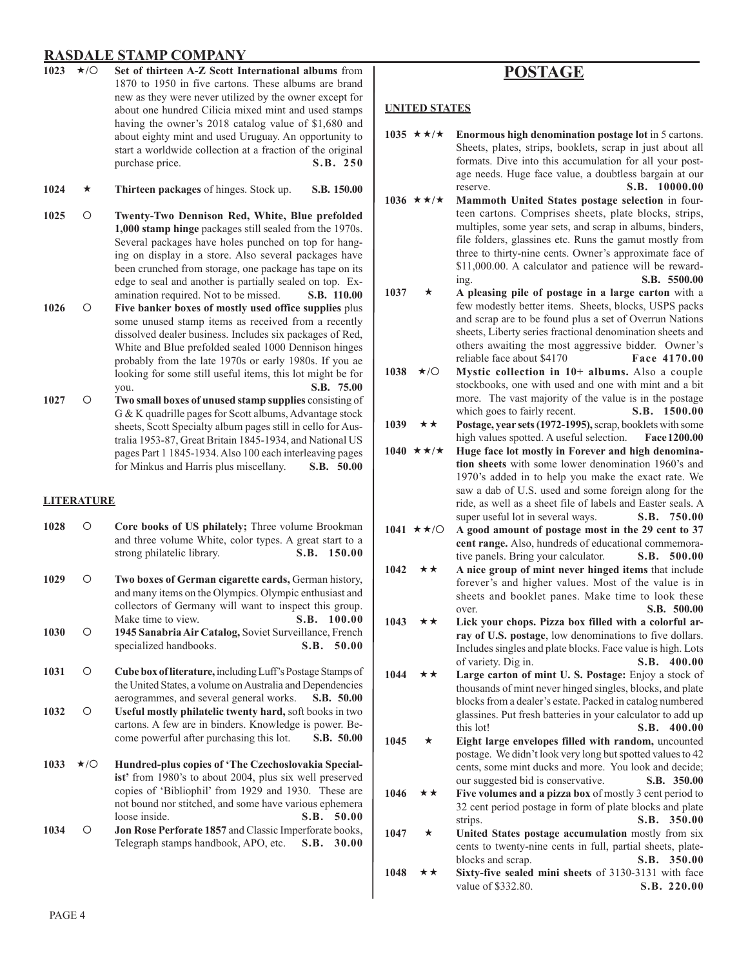- **1023** ★/○ Set of thirteen A-Z Scott International albums from 1870 to 1950 in five cartons. These albums are brand new as they were never utilized by the owner except for about one hundred Cilicia mixed mint and used stamps having the owner's 2018 catalog value of \$1,680 and about eighty mint and used Uruguay. An opportunity to start a worldwide collection at a fraction of the original purchase price. **S.B. 250**
- **1024 Thirteen packages** of hinges. Stock up. **S.B. 150.00**
- **1025 Twenty-Two Dennison Red, White, Blue prefolded 1,000 stamp hinge** packages still sealed from the 1970s. Several packages have holes punched on top for hanging on display in a store. Also several packages have been crunched from storage, one package has tape on its edge to seal and another is partially sealed on top. Examination required. Not to be missed. **S.B. 110.00**
- **1026 Five banker boxes of mostly used office supplies** plus some unused stamp items as received from a recently dissolved dealer business. Includes six packages of Red, White and Blue prefolded sealed 1000 Dennison hinges probably from the late 1970s or early 1980s. If you ae looking for some still useful items, this lot might be for you. **S.B. 75.00**
- **1027 Two small boxes of unused stamp supplies** consisting of G & K quadrille pages for Scott albums, Advantage stock sheets, Scott Specialty album pages still in cello for Australia 1953-87, Great Britain 1845-1934, and National US pages Part 1 1845-1934. Also 100 each interleaving pages for Minkus and Harris plus miscellany. **S.B. 50.00**

#### **LITERATURE**

- 1028 **Core books of US philately;** Three volume Brookman and three volume White, color types. A great start to a strong philatelic library. **S.B. 150.00**
- **1029 Two boxes of German cigarette cards,** German history, and many items on the Olympics. Olympic enthusiast and collectors of Germany will want to inspect this group. Make time to view. **S.B.** 100.00
- **1030 1945 Sanabria Air Catalog,** Soviet Surveillance, French specialized handbooks. **S.B. 50.00**
- **1031 Cube box of literature,** including Luff's Postage Stamps of the United States, a volume on Australia and Dependencies aerogrammes, and several general works. **S.B. 50.00 1032 Useful mostly philatelic twenty hard,** soft books in two cartons. A few are in binders. Knowledge is power. Become powerful after purchasing this lot. **S.B. 50.00**
- 1033  $\star$ /O Hundred-plus copies of 'The Czechoslovakia Specialist' from 1980's to about 2004, plus six well preserved copies of 'Bibliophil' from 1929 and 1930. These are not bound nor stitched, and some have various ephemera loose inside. **S.B. 50.00**
- **1034 Jon Rose Perforate 1857** and Classic Imperforate books, Telegraph stamps handbook, APO, etc. **S.B. 30.00**

#### **POSTAGE**

#### **UNITED STATES**

- 1035  $\star \star / \star$  Enormous high denomination postage lot in 5 cartons. Sheets, plates, strips, booklets, scrap in just about all formats. Dive into this accumulation for all your postage needs. Huge face value, a doubtless bargain at our reserve. **S.B. 10000.00**
- **1036 ★★/★** Mammoth United States postage selection in fourteen cartons. Comprises sheets, plate blocks, strips, multiples, some year sets, and scrap in albums, binders, file folders, glassines etc. Runs the gamut mostly from three to thirty-nine cents. Owner's approximate face of \$11,000.00. A calculator and patience will be rewarding. **S.B. 5500.00**
- **1037 A pleasing pile of postage in a large carton** with a few modestly better items. Sheets, blocks, USPS packs and scrap are to be found plus a set of Overrun Nations sheets, Liberty series fractional denomination sheets and others awaiting the most aggressive bidder. Owner's reliable face about \$4170 **Face 4170.00**
- **1038 / Mystic collection in 10+ albums.** Also a couple stockbooks, one with used and one with mint and a bit more. The vast majority of the value is in the postage which goes to fairly recent. **S.B. 1500.00**
- **1039** ★★ Postage, year sets (1972-1995), scrap, booklets with some high values spotted. A useful selection. **Face 1200.00**
- 1040  $\star \star / \star$  Huge face lot mostly in Forever and high denomina**tion sheets** with some lower denomination 1960's and 1970's added in to help you make the exact rate. We saw a dab of U.S. used and some foreign along for the ride, as well as a sheet file of labels and Easter seals. A super useful lot in several ways. **S.B. 750.00**
- 1041  $\star \star$ **/** $\circ$  A good amount of postage most in the 29 cent to 37 **cent range.** Also, hundreds of educational commemorative panels. Bring your calculator. **S.B. 500.00**
- 1042  $\star \star$  A nice group of mint never hinged items that include forever's and higher values. Most of the value is in sheets and booklet panes. Make time to look these over. **S.B. 500.00**
- **1043 Lick your chops. Pizza box filled with a colorful array of U.S. postage**, low denominations to five dollars. Includes singles and plate blocks. Face value is high. Lots of variety. Dig in. **S.B. 400.00**
- **1044 Large carton of mint U. S. Postage:** Enjoy a stock of thousands of mint never hinged singles, blocks, and plate blocks from a dealer's estate. Packed in catalog numbered glassines. Put fresh batteries in your calculator to add up this lot! **S.B. 400.00**
- **1045 Eight large envelopes filled with random,** uncounted postage. We didn't look very long but spotted values to 42 cents, some mint ducks and more. You look and decide; our suggested bid is conservative. **S.B. 350.00**
- 1046  $\star \star$  Five volumes and a pizza box of mostly 3 cent period to 32 cent period postage in form of plate blocks and plate strips. **S.B. 350.00**
- 1047 **\*** United States postage accumulation mostly from six cents to twenty-nine cents in full, partial sheets, plateblocks and scrap. **S.B. 350.00**
- **1048 Sixty-five sealed mini sheets** of 3130-3131 with face value of \$332.80. **S.B. 220.00**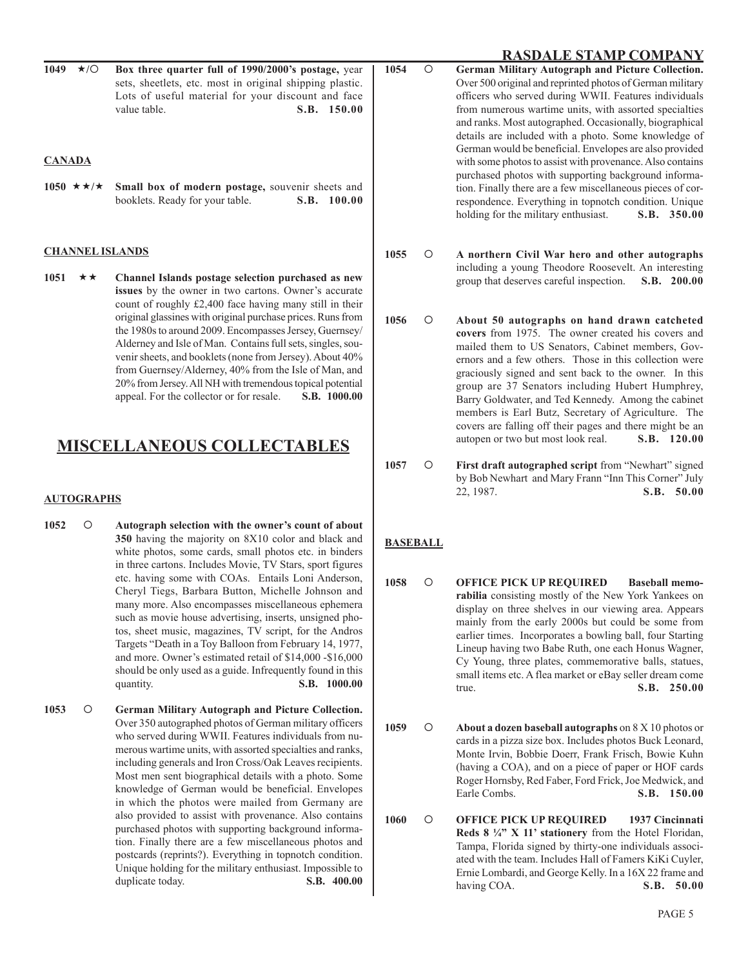**1049 / Box three quarter full of 1990/2000's postage,** year sets, sheetlets, etc. most in original shipping plastic. Lots of useful material for your discount and face value table. **S.B. 150.00** 

#### **CANADA**

1050  $\star \star / \star$  Small box of modern postage, souvenir sheets and booklets. Ready for your table. **S.B. 100.00**

#### **CHANNEL ISLANDS**

**1051 Channel Islands postage selection purchased as new issues** by the owner in two cartons. Owner's accurate count of roughly £2,400 face having many still in their original glassines with original purchase prices. Runs from the 1980s to around 2009. Encompasses Jersey, Guernsey/ Alderney and Isle of Man. Contains full sets, singles, souvenir sheets, and booklets (none from Jersey). About 40% from Guernsey/Alderney, 40% from the Isle of Man, and 20% from Jersey. All NH with tremendous topical potential appeal. For the collector or for resale. **S.B. 1000.00**

#### **MISCELLANEOUS COLLECTABLES**

#### **AUTOGRAPHS**

- **1052 Autograph selection with the owner's count of about 350** having the majority on 8X10 color and black and white photos, some cards, small photos etc. in binders in three cartons. Includes Movie, TV Stars, sport figures etc. having some with COAs. Entails Loni Anderson, Cheryl Tiegs, Barbara Button, Michelle Johnson and many more. Also encompasses miscellaneous ephemera such as movie house advertising, inserts, unsigned photos, sheet music, magazines, TV script, for the Andros Targets "Death in a Toy Balloon from February 14, 1977, and more. Owner's estimated retail of \$14,000 -\$16,000 should be only used as a guide. Infrequently found in this quantity. **S.B. 1000.00**
- **1053 German Military Autograph and Picture Collection.**  Over 350 autographed photos of German military officers who served during WWII. Features individuals from numerous wartime units, with assorted specialties and ranks, including generals and Iron Cross/Oak Leaves recipients. Most men sent biographical details with a photo. Some knowledge of German would be beneficial. Envelopes in which the photos were mailed from Germany are also provided to assist with provenance. Also contains purchased photos with supporting background information. Finally there are a few miscellaneous photos and postcards (reprints?). Everything in topnotch condition. Unique holding for the military enthusiast. Impossible to duplicate today. **S.B. 400.00**

**RASDALE STAMP COMPANY**<br>1049 \*/O Box three quarter full of 1990/2000's postage, year | 1054 O German Military Autograph and Picture Collection. **1054 German Military Autograph and Picture Collection.**  Over 500 original and reprinted photos of German military officers who served during WWII. Features individuals from numerous wartime units, with assorted specialties and ranks. Most autographed. Occasionally, biographical details are included with a photo. Some knowledge of German would be beneficial. Envelopes are also provided with some photos to assist with provenance. Also contains purchased photos with supporting background information. Finally there are a few miscellaneous pieces of correspondence. Everything in topnotch condition. Unique holding for the military enthusiast. **S.B. 350.00** 

- **1055 A northern Civil War hero and other autographs** including a young Theodore Roosevelt. An interesting group that deserves careful inspection. **S.B. 200.00**
- **1056 About 50 autographs on hand drawn catcheted covers** from 1975. The owner created his covers and mailed them to US Senators, Cabinet members, Governors and a few others. Those in this collection were graciously signed and sent back to the owner. In this group are 37 Senators including Hubert Humphrey, Barry Goldwater, and Ted Kennedy. Among the cabinet members is Earl Butz, Secretary of Agriculture. The covers are falling off their pages and there might be an autopen or two but most look real. **S.B. 120.00**
- 1057 **O** First draft autographed script from "Newhart" signed by Bob Newhart and Mary Frann "Inn This Corner" July 22, 1987. **S.B. 50.00**

#### **BASEBALL**

- **1058 OFFICE PICK UP REQUIRED Baseball memorabilia** consisting mostly of the New York Yankees on display on three shelves in our viewing area. Appears mainly from the early 2000s but could be some from earlier times. Incorporates a bowling ball, four Starting Lineup having two Babe Ruth, one each Honus Wagner, Cy Young, three plates, commemorative balls, statues, small items etc. A flea market or eBay seller dream come true. **S.B. 250.00**
- **1059 About a dozen baseball autographs** on 8 X 10 photos or cards in a pizza size box. Includes photos Buck Leonard, Monte Irvin, Bobbie Doerr, Frank Frisch, Bowie Kuhn (having a COA), and on a piece of paper or HOF cards Roger Hornsby, Red Faber, Ford Frick, Joe Medwick, and Earle Combs. **S.B. 150.00**
- **1060 OFFICE PICK UP REQUIRED 1937 Cincinnati Reds 8 ¼" X 11' stationery** from the Hotel Floridan, Tampa, Florida signed by thirty-one individuals associated with the team. Includes Hall of Famers KiKi Cuyler, Ernie Lombardi, and George Kelly. In a 16X 22 frame and having COA. **S.B. 50.00**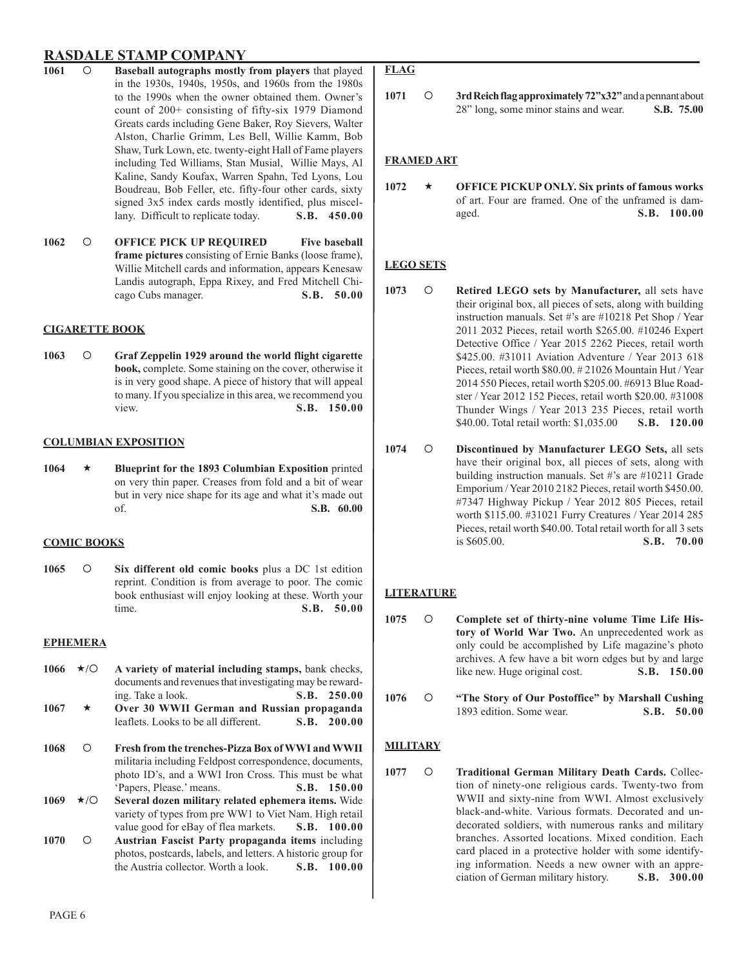- **1061 Baseball autographs mostly from players** that played in the 1930s, 1940s, 1950s, and 1960s from the 1980s to the 1990s when the owner obtained them. Owner's count of 200+ consisting of fifty-six 1979 Diamond Greats cards including Gene Baker, Roy Sievers, Walter Alston, Charlie Grimm, Les Bell, Willie Kamm, Bob Shaw, Turk Lown, etc. twenty-eight Hall of Fame players including Ted Williams, Stan Musial, Willie Mays, Al Kaline, Sandy Koufax, Warren Spahn, Ted Lyons, Lou Boudreau, Bob Feller, etc. fifty-four other cards, sixty signed 3x5 index cards mostly identified, plus miscellany. Difficult to replicate today. **S.B. 450.00**
- **1062 OFFICE PICK UP REQUIRED Five baseball frame pictures** consisting of Ernie Banks (loose frame), Willie Mitchell cards and information, appears Kenesaw Landis autograph, Eppa Rixey, and Fred Mitchell Chicago Cubs manager. **S.B. 50.00**

#### **CIGARETTE BOOK**

**1063 Graf Zeppelin 1929 around the world flight cigarette book,** complete. Some staining on the cover, otherwise it is in very good shape. A piece of history that will appeal to many. If you specialize in this area, we recommend you view. **S.B. 150.00**

#### **COLUMBIAN EXPOSITION**

**1064 Blueprint for the 1893 Columbian Exposition** printed on very thin paper. Creases from fold and a bit of wear but in very nice shape for its age and what it's made out of. **S.B. 60.00**

#### **COMIC BOOKS**

**1065 Six different old comic books** plus a DC 1st edition reprint. Condition is from average to poor. The comic book enthusiast will enjoy looking at these. Worth your time. **S.B. 50.00**

#### **EPHEMERA**

- 1066 **\*/O** A variety of material including stamps, bank checks, documents and revenues that investigating may be rewarding. Take a look. **S.B. 250.00**
- **1067 Over 30 WWII German and Russian propaganda**  leaflets. Looks to be all different. **S.B. 200.00**
- **1068 Fresh from the trenches-Pizza Box of WWI and WWII**  militaria including Feldpost correspondence, documents, photo ID's, and a WWI Iron Cross. This must be what 'Papers, Please.' means. **S.B. 150.00**
- **1069 / Several dozen military related ephemera items.** Wide variety of types from pre WW1 to Viet Nam. High retail value good for eBay of flea markets. **S.B. 100.00**
- **1070 Austrian Fascist Party propaganda items** including photos, postcards, labels, and letters. A historic group for the Austria collector. Worth a look. **S.B. 100.00**

#### **FLAG**

**1071 3rd Reich flag approximately 72"x32"** and a pennant about 28" long, some minor stains and wear. **S.B. 75.00**

#### **FRAMED ART**

1072 **\*** OFFICE PICKUP ONLY. Six prints of famous works of art. Four are framed. One of the unframed is damaged. **S.B. 100.00**

#### **LEGO SETS**

- 1073 **O** Retired LEGO sets by Manufacturer, all sets have their original box, all pieces of sets, along with building instruction manuals. Set #'s are #10218 Pet Shop / Year 2011 2032 Pieces, retail worth \$265.00. #10246 Expert Detective Office / Year 2015 2262 Pieces, retail worth \$425.00. #31011 Aviation Adventure / Year 2013 618 Pieces, retail worth \$80.00. # 21026 Mountain Hut / Year 2014 550 Pieces, retail worth \$205.00. #6913 Blue Roadster / Year 2012 152 Pieces, retail worth \$20.00. #31008 Thunder Wings / Year 2013 235 Pieces, retail worth \$40.00. Total retail worth: \$1,035.00 **S.B. 120.00**
- **1074 Discontinued by Manufacturer LEGO Sets,** all sets have their original box, all pieces of sets, along with building instruction manuals. Set #'s are #10211 Grade Emporium / Year 2010 2182 Pieces, retail worth \$450.00. #7347 Highway Pickup / Year 2012 805 Pieces, retail worth \$115.00. #31021 Furry Creatures / Year 2014 285 Pieces, retail worth \$40.00. Total retail worth for all 3 sets is \$605.00. **S.B. 70.00**

#### **LITERATURE**

- **1075 Complete set of thirty-nine volume Time Life History of World War Two.** An unprecedented work as only could be accomplished by Life magazine's photo archives. A few have a bit worn edges but by and large like new. Huge original cost. **S.B. 150.00**
- **1076 "The Story of Our Postoffice" by Marshall Cushing**  1893 edition. Some wear. **S.B. 50.00**

#### **MILITARY**

1077 **O** Traditional German Military Death Cards. Collection of ninety-one religious cards. Twenty-two from WWII and sixty-nine from WWI. Almost exclusively black-and-white. Various formats. Decorated and undecorated soldiers, with numerous ranks and military branches. Assorted locations. Mixed condition. Each card placed in a protective holder with some identifying information. Needs a new owner with an appreciation of German military history. **S.B. 300.00**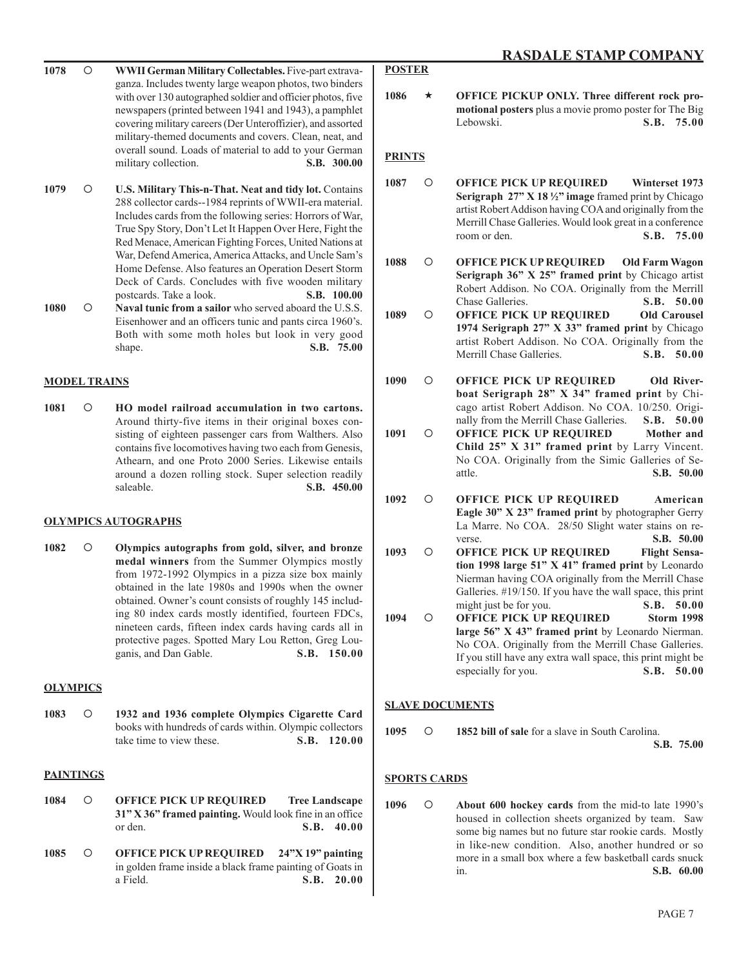- **1078 WWII German Military Collectables.** Five-part extravaganza. Includes twenty large weapon photos, two binders with over 130 autographed soldier and officier photos, five newspapers (printed between 1941 and 1943), a pamphlet covering military careers (Der Unteroffizier), and assorted military-themed documents and covers. Clean, neat, and overall sound. Loads of material to add to your German military collection. **S.B. 300.00**
- **1079 U.S. Military This-n-That. Neat and tidy lot.** Contains 288 collector cards--1984 reprints of WWII-era material. Includes cards from the following series: Horrors of War, True Spy Story, Don't Let It Happen Over Here, Fight the Red Menace, American Fighting Forces, United Nations at War, Defend America, America Attacks, and Uncle Sam's Home Defense. Also features an Operation Desert Storm Deck of Cards. Concludes with five wooden military postcards. Take a look. **S.B. 100.00**
- 1080  **O** Naval tunic from a sailor who served aboard the U.S.S. Eisenhower and an officers tunic and pants circa 1960's. Both with some moth holes but look in very good shape. **S.B. 75.00**

#### **MODEL TRAINS**

1081  $\circ$  **HO** model railroad accumulation in two cartons. Around thirty-five items in their original boxes consisting of eighteen passenger cars from Walthers. Also contains five locomotives having two each from Genesis, Athearn, and one Proto 2000 Series. Likewise entails around a dozen rolling stock. Super selection readily saleable. **S.B. 450.00** 

#### **OLYMPICS AUTOGRAPHS**

**1082 Olympics autographs from gold, silver, and bronze medal winners** from the Summer Olympics mostly from 1972-1992 Olympics in a pizza size box mainly obtained in the late 1980s and 1990s when the owner obtained. Owner's count consists of roughly 145 including 80 index cards mostly identified, fourteen FDCs, nineteen cards, fifteen index cards having cards all in protective pages. Spotted Mary Lou Retton, Greg Louganis, and Dan Gable. **S.B. 150.00**

#### **OLYMPICS**

**1083 1932 and 1936 complete Olympics Cigarette Card**  books with hundreds of cards within. Olympic collectors take time to view these. **S.B.** 120.00

#### **PAINTINGS**

- **1084 OFFICE PICK UP REQUIRED Tree Landscape 31" X 36" framed painting.** Would look fine in an office or den. **S.B. 40.00**
- **1085 OFFICE PICK UP REQUIRED 24"X 19" painting**  in golden frame inside a black frame painting of Goats in a Field. **S.B. 20.00**

### **POSTER**

1086  $\star$  OFFICE PICKUP ONLY. Three different rock pro**motional posters** plus a movie promo poster for The Big Lebowski. **S.B. 75.00**

#### **PRINTS**

- **1087 OFFICE PICK UP REQUIRED Winterset 1973 Serigraph 27" X 18 ½" image** framed print by Chicago artist Robert Addison having COA and originally from the Merrill Chase Galleries. Would look great in a conference room or den. **S.B. 75.00**
- **1088 OFFICE PICK UP REQUIRED Old Farm Wagon Serigraph 36" X 25" framed print** by Chicago artist Robert Addison. No COA. Originally from the Merrill<br>Chase Galleries. **S.B. 50.00 Chase Galleries**
- **1089 OFFICE PICK UP REQUIRED Old Carousel 1974 Serigraph 27" X 33" framed print** by Chicago artist Robert Addison. No COA. Originally from the Merrill Chase Galleries. **S.B. 50.00**
- 1090  $\bigcirc$  OFFICE PICK UP REQUIRED Old River**boat Serigraph 28" X 34" framed print** by Chicago artist Robert Addison. No COA. 10/250. Originally from the Merrill Chase Galleries. **S.B. 50.00**
- **1091 OFFICE PICK UP REQUIRED Mother and Child 25" X 31" framed print** by Larry Vincent. No COA. Originally from the Simic Galleries of Seattle. **S.B. 50.00**
- **1092 OFFICE PICK UP REQUIRED American Eagle 30" X 23" framed print** by photographer Gerry La Marre. No COA. 28/50 Slight water stains on reverse. **S.B. 50.00**
- 1093 O OFFICE PICK UP REQUIRED Flight Sensa**tion 1998 large 51" X 41" framed print** by Leonardo Nierman having COA originally from the Merrill Chase Galleries. #19/150. If you have the wall space, this print might just be for you. **S.B. 50.00**
- **1094 OFFICE PICK UP REQUIRED Storm 1998 large 56" X 43" framed print** by Leonardo Nierman. No COA. Originally from the Merrill Chase Galleries. If you still have any extra wall space, this print might be especially for you. **S.B. 50.00**

#### **SLAVE DOCUMENTS**

**1095 1852 bill of sale** for a slave in South Carolina.

**S.B. 75.00**

#### **SPORTS CARDS**

**1096 About 600 hockey cards** from the mid-to late 1990's housed in collection sheets organized by team. Saw some big names but no future star rookie cards. Mostly in like-new condition. Also, another hundred or so more in a small box where a few basketball cards snuck in. **S.B. 60.00**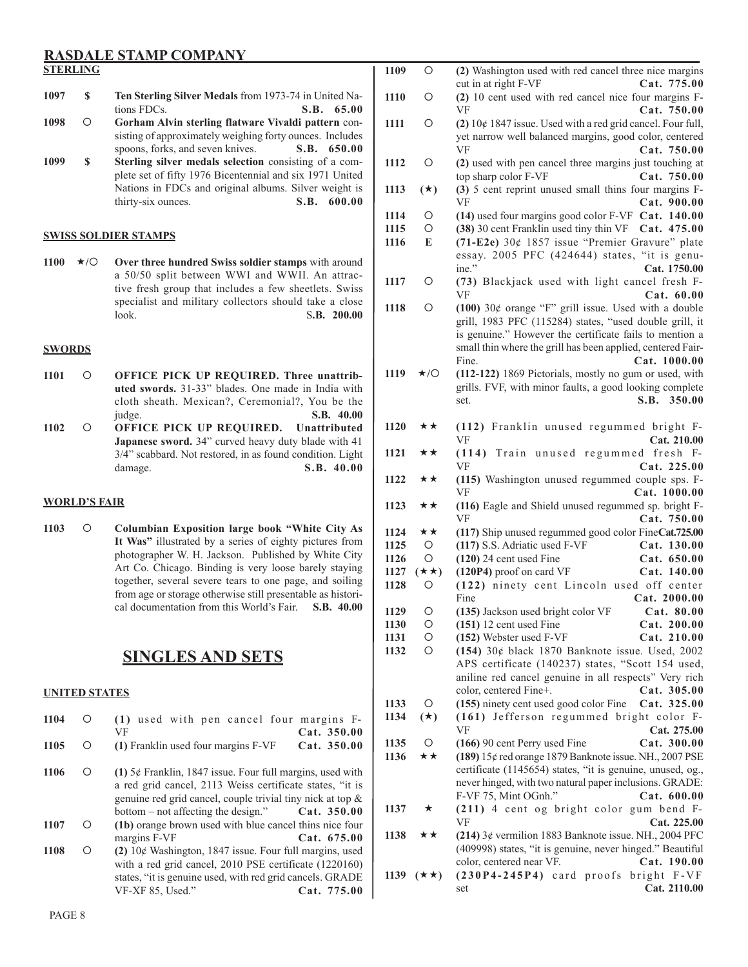#### **RASDALE STAMP COMPANY STERLING**

- **1097 \$ Ten Sterling Silver Medals** from 1973-74 in United Nations FDCs. **S.B. 65.00**
- **1098 Gorham Alvin sterling flatware Vivaldi pattern** consisting of approximately weighing forty ounces. Includes spoons, forks, and seven knives. **S.B. 650.00**
- **1099 \$ Sterling silver medals selection** consisting of a complete set of fifty 1976 Bicentennial and six 1971 United Nations in FDCs and original albums. Silver weight is thirty-six ounces. **S.B. 600.00** thirty-six ounces.

#### **SWISS SOLDIER STAMPS**

1100  $\star$ **/O** Over three hundred Swiss soldier stamps with around a 50/50 split between WWI and WWII. An attractive fresh group that includes a few sheetlets. Swiss specialist and military collectors should take a close look. S**.B. 200.00**

#### **SWORDS**

- 1101  $\bigcirc$  **OFFICE PICK UP REQUIRED. Three unattributed swords.** 31-33" blades. One made in India with cloth sheath. Mexican?, Ceremonial?, You be the judge. **S.B. 40.00**
- **1102 OFFICE PICK UP REQUIRED. Unattributed Japanese sword.** 34" curved heavy duty blade with 41 3/4" scabbard. Not restored, in as found condition. Light damage. **S.B. 40.00**

#### **WORLD'S FAIR**

**1103 Columbian Exposition large book "White City As It Was"** illustrated by a series of eighty pictures from photographer W. H. Jackson. Published by White City Art Co. Chicago. Binding is very loose barely staying together, several severe tears to one page, and soiling from age or storage otherwise still presentable as historical documentation from this World's Fair. **S.B. 40.00**

#### **SINGLES AND SETS**

**1104 (1)** used with pen cancel four margins F-

#### **UNITED STATES**

| 1105 | Ω | VF<br>(1) Franklin used four margins F-VF                                                                                                                                                                                      | Cat. 350.00<br>Cat. 350.00 |
|------|---|--------------------------------------------------------------------------------------------------------------------------------------------------------------------------------------------------------------------------------|----------------------------|
| 1106 | Ο | $(1)$ 5¢ Franklin, 1847 issue. Four full margins, used with<br>a red grid cancel, 2113 Weiss certificate states, "it is<br>genuine red grid cancel, couple trivial tiny nick at top &<br>bottom $-$ not affecting the design." | Cat. 350.00                |
| 1107 | Ω | (1b) orange brown used with blue cancel thins nice four<br>margins F-VF                                                                                                                                                        | Cat.675.00                 |
| 1108 | ∩ | $(2)$ 10¢ Washington, 1847 issue. Four full margins, used<br>with a red grid cancel, 2010 PSE certificate (1220160)<br>states, "it is genuine used, with red grid cancels. GRADE<br>VF-XF 85, Used."                           | Cat. 775.00                |

| 1109         | О                    | (2) Washington used with red cancel three nice margins                                            |
|--------------|----------------------|---------------------------------------------------------------------------------------------------|
|              |                      | cut in at right F-VF<br>Cat. 775.00                                                               |
| 1110         | О                    | (2) 10 cent used with red cancel nice four margins F-<br>VF<br>Cat. 750.00                        |
| 1111         | О                    | $(2)$ 10¢ 1847 issue. Used with a red grid cancel. Four full,                                     |
|              |                      | yet narrow well balanced margins, good color, centered                                            |
|              |                      | VF<br>Cat. 750.00                                                                                 |
| 1112         | Ο                    | (2) used with pen cancel three margins just touching at                                           |
|              |                      | top sharp color F-VF<br>Cat. 750.00                                                               |
| 1113         | $(\star)$            | (3) 5 cent reprint unused small thins four margins F-                                             |
|              |                      | VF<br>Cat. 900.00                                                                                 |
| 1114         | О                    | (14) used four margins good color F-VF Cat. 140.00                                                |
| 1115         | О                    | (38) 30 cent Franklin used tiny thin VF Cat. 475.00                                               |
| 1116         | E                    | (71-E2e) 30¢ 1857 issue "Premier Gravure" plate                                                   |
|              |                      | essay. 2005 PFC (424644) states, "it is genu-                                                     |
|              | О                    | ine."<br>Cat. 1750.00<br>(73) Blackjack used with light cancel fresh F-                           |
| 1117         |                      | VF<br>Cat. 60.00                                                                                  |
| 1118         | О                    | (100) $30¢$ orange "F" grill issue. Used with a double                                            |
|              |                      | grill, 1983 PFC (115284) states, "used double grill, it                                           |
|              |                      | is genuine." However the certificate fails to mention a                                           |
|              |                      | small thin where the grill has been applied, centered Fair-                                       |
|              |                      | Fine.<br>Cat. 1000.00                                                                             |
| 1119         | $\star$ /O           | (112-122) 1869 Pictorials, mostly no gum or used, with                                            |
|              |                      | grills. FVF, with minor faults, a good looking complete                                           |
|              |                      | S.B.<br>350.00<br>set.                                                                            |
|              |                      |                                                                                                   |
| 1120         | ★★                   | (112) Franklin unused regummed bright F-<br>VF<br>Cat. 210.00                                     |
| 1121         | **                   | (114) Train unused regummed fresh F-                                                              |
|              |                      | VF<br>Cat. 225.00                                                                                 |
| 1122         | **                   | (115) Washington unused regummed couple sps. F-                                                   |
|              |                      | VF<br>Cat. 1000.00                                                                                |
| 1123         | **                   | (116) Eagle and Shield unused regummed sp. bright F-                                              |
|              |                      | VF<br>Cat. 750.00                                                                                 |
| 1124         | **<br>O              | (117) Ship unused regummed good color FineCat.725.00                                              |
| 1125<br>1126 | О                    | (117) S.S. Adriatic used F-VF<br>Cat. 130.00<br>$(120)$ 24 cent used Fine<br>Cat. 650.00          |
| 1127         | $(\star\star)$       | (120P4) proof on card VF<br>Cat. 140.00                                                           |
| 1128         | O                    | (122) ninety cent Lincoln used off center                                                         |
|              |                      | Fine<br>Cat. 2000.00                                                                              |
| 1129         | $\circ$              | (135) Jackson used bright color VF Cat. 80.00                                                     |
| 1130         | O                    | Cat. 200.00<br>$(151)$ 12 cent used Fine                                                          |
| 1131         | $\bigcirc$           | (152) Webster used F-VF<br>Cat. 210.00                                                            |
| 1132         | О                    | $(154)$ 30¢ black 1870 Banknote issue. Used, 2002                                                 |
|              |                      | APS certificate (140237) states, "Scott 154 used,                                                 |
|              |                      | aniline red cancel genuine in all respects" Very rich                                             |
|              | O                    | color, centered Fine+.<br>Cat. 305.00                                                             |
| 1133<br>1134 | $(\star)$            | (155) ninety cent used good color Fine<br>Cat. 325.00<br>(161) Jefferson regummed bright color F- |
|              |                      | Cat. 275.00<br>VF                                                                                 |
| 1135         | $\circ$              | (166) 90 cent Perry used Fine<br>Cat. 300.00                                                      |
| 1136         | ★★                   | (189) 15¢ red orange 1879 Banknote issue. NH., 2007 PSE                                           |
|              |                      | certificate (1145654) states, "it is genuine, unused, og.,                                        |
|              |                      | never hinged, with two natural paper inclusions. GRADE:                                           |
|              |                      | F-VF 75, Mint OGnh."<br>Cat. 600.00                                                               |
| 1137         | ★                    | (211) 4 cent og bright color gum bend F-                                                          |
|              |                      | VF<br>Cat. 225.00                                                                                 |
| 1138         | ★★                   | $(214)$ 3¢ vermilion 1883 Banknote issue. NH., 2004 PFC                                           |
|              |                      | (409998) states, "it is genuine, never hinged." Beautiful                                         |
|              |                      | color, centered near VF.<br>Cat. 190.00<br>(230P4-245P4) card proofs bright F-VF                  |
|              | 1139 $(\star \star)$ | Cat. 2110.00<br>set                                                                               |
|              |                      |                                                                                                   |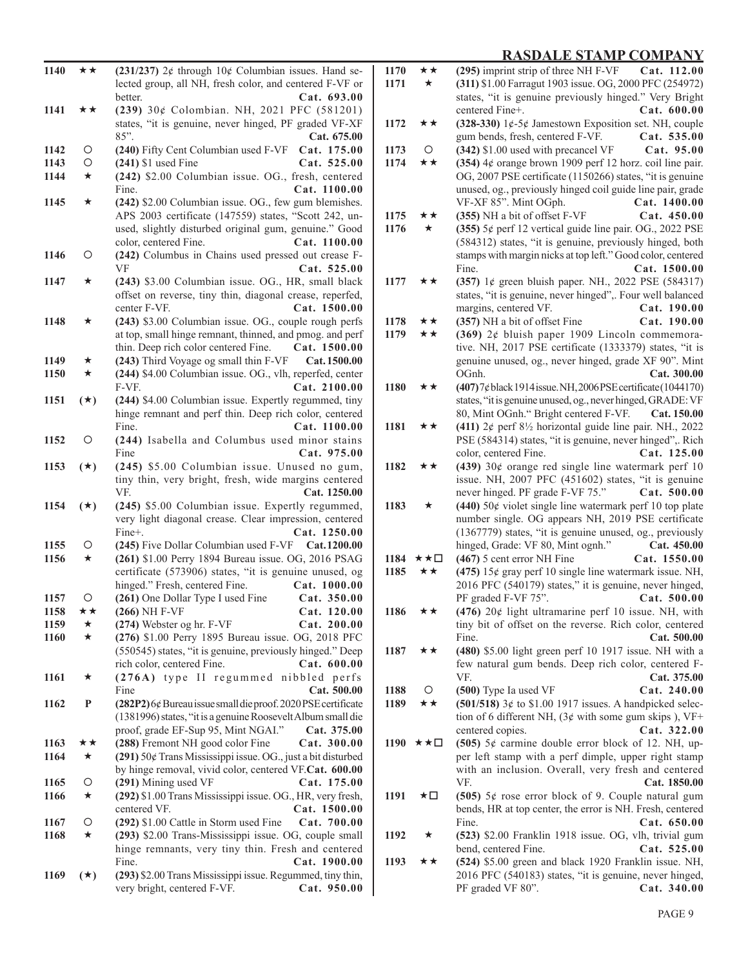| 1140         | **        | (231/237) $2¢$ through $10¢$ Columbian issues. Hand se-                                                           |  |
|--------------|-----------|-------------------------------------------------------------------------------------------------------------------|--|
|              |           | lected group, all NH, fresh color, and centered F-VF or<br>Cat. 693.00<br>better.                                 |  |
| 1141         | **        | (239) 30¢ Colombian. NH, 2021 PFC (581201)                                                                        |  |
|              |           | states, "it is genuine, never hinged, PF graded VF-XF                                                             |  |
|              |           | 85".<br>Cat. 675.00                                                                                               |  |
| 1142         | Ο         | (240) Fifty Cent Columbian used F-VF<br>Cat. 175.00                                                               |  |
| 1143         | О         | $(241)$ \$1 used Fine<br>Cat. 525.00                                                                              |  |
| 1144         | $\star$   | (242) \$2.00 Columbian issue. OG., fresh, centered                                                                |  |
|              |           | Fine.<br>Cat. 1100.00                                                                                             |  |
| 1145         | ★         | (242) \$2.00 Columbian issue. OG., few gum blemishes.<br>APS 2003 certificate (147559) states, "Scott 242, un-    |  |
|              |           | used, slightly disturbed original gum, genuine." Good                                                             |  |
|              |           | color, centered Fine.<br>Cat. 1100.00                                                                             |  |
| 1146         | Ο         | (242) Columbus in Chains used pressed out crease F-                                                               |  |
|              |           | VF<br>Cat. 525.00                                                                                                 |  |
| 1147         | ★         | (243) \$3.00 Columbian issue. OG., HR, small black                                                                |  |
|              |           | offset on reverse, tiny thin, diagonal crease, reperfed,                                                          |  |
|              |           | center F-VF.<br>Cat. 1500.00                                                                                      |  |
| 1148         | ★         | (243) \$3.00 Columbian issue. OG., couple rough perfs<br>at top, small hinge remnant, thinned, and pmog. and perf |  |
|              |           | thin. Deep rich color centered Fine.<br>Cat. 1500.00                                                              |  |
| 1149         | ★         | (243) Third Voyage og small thin F-VF<br>Cat. 1500.00                                                             |  |
| 1150         | $\star$   | (244) \$4.00 Columbian issue. OG., vlh, reperfed, center                                                          |  |
|              |           | F-VF.<br>Cat. 2100.00                                                                                             |  |
| 1151         | $(\star)$ | (244) \$4.00 Columbian issue. Expertly regummed, tiny                                                             |  |
|              |           | hinge remnant and perf thin. Deep rich color, centered                                                            |  |
|              |           | Fine.<br>Cat. 1100.00                                                                                             |  |
| 1152         | Ο         | (244) Isabella and Columbus used minor stains<br>Fine                                                             |  |
| 1153         | $(\star)$ | Cat. 975.00<br>(245) \$5.00 Columbian issue. Unused no gum,                                                       |  |
|              |           | tiny thin, very bright, fresh, wide margins centered                                                              |  |
|              |           | VF.<br>Cat. 1250.00                                                                                               |  |
| 1154         | $(*)$     | (245) \$5.00 Columbian issue. Expertly regummed,                                                                  |  |
|              |           | very light diagonal crease. Clear impression, centered                                                            |  |
|              |           | Fine+.<br>Cat. 1250.00                                                                                            |  |
| 1155<br>1156 | Ο         | (245) Five Dollar Columbian used F-VF<br>Cat. 1200.00                                                             |  |
|              | ★         | (261) \$1.00 Perry 1894 Bureau issue. OG, 2016 PSAG<br>certificate (573906) states, "it is genuine unused, og     |  |
|              |           | hinged." Fresh, centered Fine.<br>Cat. 1000.00                                                                    |  |
| 1157         | О         | (261) One Dollar Type I used Fine<br>Cat. 350.00                                                                  |  |
| 1158         | ★★        | $(266)$ NH F-VF<br>Cat. 120.00                                                                                    |  |
| 1159         | ★         | (274) Webster og hr. F-VF<br>Cat. 200.00                                                                          |  |
| 1160         | $\star$   | (276) \$1.00 Perry 1895 Bureau issue. OG, 2018 PFC                                                                |  |
|              |           | (550545) states, "it is genuine, previously hinged." Deep                                                         |  |
| 1161         | ★         | rich color, centered Fine.<br>Cat. 600.00<br>(276A) type II regummed nibbled perfs                                |  |
|              |           | Fine<br>Cat. 500.00                                                                                               |  |
| 1162         | P         | (282P2) 6¢ Bureau issue small die proof. 2020 PSE certificate                                                     |  |
|              |           | (1381996) states, "it is a genuine Roosevelt Album small die                                                      |  |
|              |           | proof, grade EF-Sup 95, Mint NGAI."<br>Cat. 375.00                                                                |  |
| 1163         | **        | (288) Fremont NH good color Fine<br>Cat. 300.00                                                                   |  |
| 1164         | ★         | (291) 50¢ Trans Mississippi issue. OG., just a bit disturbed                                                      |  |
| 1165         | Ο         | by hinge removal, vivid color, centered VF.Cat. 600.00<br>(291) Mining used VF<br>Cat. 175.00                     |  |
| 1166         | ★         | (292) \$1.00 Trans Mississippi issue. OG., HR, very fresh,                                                        |  |
|              |           | centered VF.<br>Cat. 1500.00                                                                                      |  |
| 1167         | Ο         | (292) \$1.00 Cattle in Storm used Fine<br>Cat. 700.00                                                             |  |
| 1168         | ★         | (293) \$2.00 Trans-Mississippi issue. OG, couple small                                                            |  |
|              |           | hinge remnants, very tiny thin. Fresh and centered                                                                |  |
|              |           | Fine.<br>Cat. 1900.00                                                                                             |  |
| 1169         | $(\star)$ | (293) \$2.00 Trans Mississippi issue. Regummed, tiny thin,                                                        |  |
|              |           | very bright, centered F-VF.<br>Cat. 950.00                                                                        |  |

| 1170 | **       | (295) imprint strip of three NH F-VF Cat. 112.00                     |
|------|----------|----------------------------------------------------------------------|
| 1171 | *        | (311) \$1.00 Farragut 1903 issue. OG, 2000 PFC (254972)              |
|      |          | states, "it is genuine previously hinged." Very Bright               |
|      |          | Cat. 600.00<br>centered Fine+.                                       |
| 1172 | **       | (328-330) $1¢$ -5¢ Jamestown Exposition set. NH, couple              |
|      |          | Cat. 535.00                                                          |
|      |          | gum bends, fresh, centered F-VF.                                     |
| 1173 | O        | (342) \$1.00 used with precancel VF<br>Cat. 95.00                    |
| 1174 | **       | (354) $4¢$ orange brown 1909 perf 12 horz. coil line pair.           |
|      |          | OG, 2007 PSE certificate (1150266) states, "it is genuine            |
|      |          | unused, og., previously hinged coil guide line pair, grade           |
|      |          | VF-XF 85". Mint OGph.<br>Cat. 1400.00                                |
| 1175 | **       | (355) NH a bit of offset F-VF<br>Cat. 450.00                         |
| 1176 | *        | (355) 5¢ perf 12 vertical guide line pair. OG., 2022 PSE             |
|      |          |                                                                      |
|      |          | (584312) states, "it is genuine, previously hinged, both             |
|      |          | stamps with margin nicks at top left." Good color, centered          |
|      |          | Fine.<br>Cat. 1500.00                                                |
| 1177 | **       | (357) 1¢ green bluish paper. NH., 2022 PSE (584317)                  |
|      |          | states, "it is genuine, never hinged",. Four well balanced           |
|      |          | Cat. 190.00<br>margins, centered VF.                                 |
| 1178 | **       | (357) NH a bit of offset Fine<br>Cat. 190.00                         |
|      |          |                                                                      |
| 1179 | **       | $(369)$ 2¢ bluish paper 1909 Lincoln commemora-                      |
|      |          | tive. NH, 2017 PSE certificate (1333379) states, "it is              |
|      |          | genuine unused, og., never hinged, grade XF 90". Mint                |
|      |          | OGnh.<br>Cat. 300.00                                                 |
| 1180 | **       | (407)7¢black1914issue.NH,2006PSE certificate (1044170)               |
|      |          | states, "it is genuine unused, og., never hinged, GRADE: VF          |
|      |          | 80, Mint OGnh." Bright centered F-VF.<br>Cat. 150.00                 |
| 1181 | ★★       | (411) $2¢$ perf $8\frac{1}{2}$ horizontal guide line pair. NH., 2022 |
|      |          |                                                                      |
|      |          | PSE (584314) states, "it is genuine, never hinged",. Rich            |
|      |          | Cat. 125.00<br>color, centered Fine.                                 |
| 1182 | ★★       | (439) $30¢$ orange red single line watermark perf 10                 |
|      |          | issue. NH, 2007 PFC (451602) states, "it is genuine                  |
|      |          | never hinged. PF grade F-VF 75."<br>Cat. 500.00                      |
| 1183 | ★        | $(440)$ 50 $¢$ violet single line watermark perf 10 top plate        |
|      |          | number single. OG appears NH, 2019 PSE certificate                   |
|      |          | (1367779) states, "it is genuine unused, og., previously             |
|      |          | Cat. 450.00                                                          |
|      |          | hinged, Grade: VF 80, Mint ognh."                                    |
|      | 1184 ★★□ | (467) 5 cent error NH Fine<br>Cat. 1550.00                           |
| 1185 | ★★       | (475) $15¢$ gray perf 10 single line watermark issue. NH,            |
|      |          | 2016 PFC (540179) states," it is genuine, never hinged,              |
|      |          | PF graded F-VF 75".<br>Cat. 500.00                                   |
| 1186 | ★★       | $(476)$ 20¢ light ultramarine perf 10 issue. NH, with                |
|      |          | tiny bit of offset on the reverse. Rich color, centered              |
|      |          | Fine.<br>Cat. 500.00                                                 |
|      |          |                                                                      |
| 1187 | **       | (480) \$5.00 light green perf 10 1917 issue. NH with a               |
|      |          | few natural gum bends. Deep rich color, centered F-                  |
|      |          | VF.<br>Cat. 375.00                                                   |
| 1188 | O        | (500) Type Ia used VF<br>Cat. 240.00                                 |
| 1189 | **       | (501/518) $3¢$ to \$1.00 1917 issues. A handpicked selec-            |
|      |          | tion of 6 different NH, $(3¢$ with some gum skips), VF+              |
|      |          | Cat. 322.00<br>centered copies.                                      |
|      | 1190 ★★□ | (505) $5¢$ carmine double error block of 12. NH, up-                 |
|      |          |                                                                      |
|      |          | per left stamp with a perf dimple, upper right stamp                 |
|      |          | with an inclusion. Overall, very fresh and centered                  |
|      |          | VF.<br>Cat. 1850.00                                                  |
| 1191 | ★□       | (505) $5¢$ rose error block of 9. Couple natural gum                 |
|      |          | bends, HR at top center, the error is NH. Fresh, centered            |
|      |          | Fine.<br>Cat. 650.00                                                 |
| 1192 | $\star$  | (523) \$2.00 Franklin 1918 issue. OG, vlh, trivial gum               |
|      |          | Cat. 525.00<br>bend, centered Fine.                                  |
|      |          |                                                                      |
| 1193 | ★★       | (524) \$5.00 green and black 1920 Franklin issue. NH,                |
|      |          | 2016 PFC (540183) states, "it is genuine, never hinged,              |
|      |          | Cat. 340.00<br>PF graded VF 80".                                     |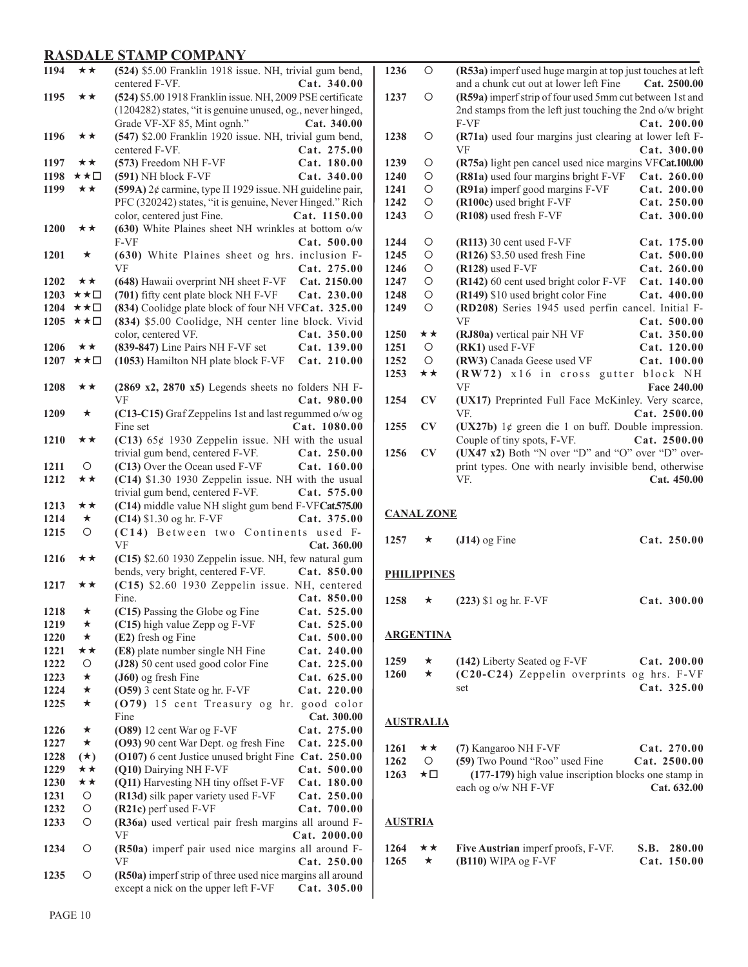| 1194         | ★★        | (524) \$5.00 Franklin 1918 issue. NH, trivial gum bend,                                                          |
|--------------|-----------|------------------------------------------------------------------------------------------------------------------|
|              |           | Cat. 340.00<br>centered F-VF.                                                                                    |
| 1195         | **        | (524) \$5.00 1918 Franklin issue. NH, 2009 PSE certificate                                                       |
|              |           | (1204282) states, "it is genuine unused, og., never hinged,                                                      |
|              |           | Grade VF-XF 85, Mint ognh."<br>Cat. 340.00                                                                       |
| 1196         | **        | (547) \$2.00 Franklin 1920 issue. NH, trivial gum bend,                                                          |
|              |           | centered F-VF.<br>Cat. 275.00                                                                                    |
| 1197         | **        | (573) Freedom NH F-VF<br>Cat. 180.00                                                                             |
| 1198         | ★★□       | (591) NH block F-VF<br>Cat. 340.00                                                                               |
| 1199         | ★★        | (599A) 2¢ carmine, type II 1929 issue. NH guideline pair,                                                        |
|              |           | PFC (320242) states, "it is genuine, Never Hinged." Rich                                                         |
|              |           | color, centered just Fine.<br>Cat. 1150.00                                                                       |
|              | **        |                                                                                                                  |
| <b>1200</b>  |           | (630) White Plaines sheet NH wrinkles at bottom o/w                                                              |
|              |           | Cat. 500.00<br>F-VF                                                                                              |
| 1201         | ★         | (630) White Plaines sheet og hrs. inclusion F-                                                                   |
|              |           | VF<br>Cat. 275.00                                                                                                |
| 1202         | ★★        | (648) Hawaii overprint NH sheet F-VF<br>Cat. 2150.00                                                             |
| 1203         | ★★□       | (701) fifty cent plate block NH F-VF<br>Cat. 230.00                                                              |
| 1204         | ★★□       | (834) Coolidge plate block of four NH VFCat. 325.00                                                              |
| 1205         | ★★□       | (834) \$5.00 Coolidge, NH center line block. Vivid                                                               |
|              |           | color, centered VF.<br>Cat. 350.00                                                                               |
| 1206         | ★★        | (839-847) Line Pairs NH F-VF set<br>Cat. 139.00                                                                  |
| 1207         | ★★□       | (1053) Hamilton NH plate block F-VF<br>Cat. 210.00                                                               |
|              |           |                                                                                                                  |
| 1208         | **        | (2869 x2, 2870 x5) Legends sheets no folders NH F-                                                               |
|              |           | VF<br>Cat. 980.00                                                                                                |
| 1209         | ★         | (C13-C15) Graf Zeppelins 1st and last regummed o/w og                                                            |
|              |           | Cat. 1080.00<br>Fine set                                                                                         |
| 1210         | **        | (C13) $65¢$ 1930 Zeppelin issue. NH with the usual                                                               |
|              |           | trivial gum bend, centered F-VF.<br>Cat. 250.00                                                                  |
| 1211         | $\circ$   | (C13) Over the Ocean used F-VF<br>Cat. 160.00                                                                    |
| 1212         | **        | (C14) \$1.30 1930 Zeppelin issue. NH with the usual                                                              |
|              |           | trivial gum bend, centered F-VF.<br>Cat. 575.00                                                                  |
| 1213         | **        | (C14) middle value NH slight gum bend F-VFCat.575.00                                                             |
| 1214         | $\star$   | (C14) \$1.30 og hr. F-VF<br>Cat. 375.00                                                                          |
| 1215         | $\circ$   | (C14) Between two Continents used F-                                                                             |
|              |           | VF<br>Cat. 360.00                                                                                                |
| 1216         | ★★        | (C15) \$2.60 1930 Zeppelin issue. NH, few natural gum                                                            |
|              |           |                                                                                                                  |
|              |           | Cat. 850.00                                                                                                      |
| 1217         | **        | bends, very bright, centered F-VF.                                                                               |
|              |           | (C15) \$2.60 1930 Zeppelin issue. NH, centered<br>Cat. 850.00<br>Fine.                                           |
| 1218         | *         | Cat. 525.00                                                                                                      |
| 1219         | ★         | (C15) Passing the Globe og Fine<br>(C15) high value Zepp og F-VF<br>Cat. 525.00                                  |
| 1220         | *         | Cat. 500.00                                                                                                      |
|              | **        | (E2) fresh og Fine                                                                                               |
| 1221<br>1222 | O         | (E8) plate number single NH Fine<br>Cat. 240.00                                                                  |
| 1223         | *         | (J28) 50 cent used good color Fine<br>Cat. 225.00                                                                |
|              | ★         | (J60) og fresh Fine<br>Cat. 625.00                                                                               |
| 1224<br>1225 | ★         | (O59) 3 cent State og hr. F-VF<br>Cat. 220.00                                                                    |
|              |           | (079) 15 cent Treasury og hr.<br>good color<br>Fine                                                              |
|              |           | Cat. 300.00                                                                                                      |
| 1226         | ★         | Cat. 275.00<br>$(O89)$ 12 cent War og F-VF                                                                       |
| 1227         | $\star$   | (O93) 90 cent War Dept. og fresh Fine<br>Cat. 225.00                                                             |
| 1228         | $(\star)$ | (O107) 6 cent Justice unused bright Fine Cat. 250.00                                                             |
| 1229         | ★★        | (Q10) Dairying NH F-VF<br>Cat. 500.00                                                                            |
| 1230         | **        | (Q11) Harvesting NH tiny offset F-VF<br>Cat. 180.00                                                              |
| 1231         | О         | (R13d) silk paper variety used F-VF<br>Cat. 250.00                                                               |
| 1232         | O         | (R21c) perf used F-VF<br>Cat. 700.00                                                                             |
| 1233         | O         | (R36a) used vertical pair fresh margins all around F-                                                            |
|              |           | VF<br>Cat. 2000.00                                                                                               |
| 1234         | O         | (R50a) imperf pair used nice margins all around F-                                                               |
|              |           | Cat. 250.00<br>VF                                                                                                |
| 1235         | О         | (R50a) imperf strip of three used nice margins all around<br>except a nick on the upper left F-VF<br>Cat. 305.00 |

| 1236 | $\circ$    | (R53a) imperf used huge margin at top just touches at left |
|------|------------|------------------------------------------------------------|
|      |            | and a chunk cut out at lower left Fine<br>Cat. 2500.00     |
| 1237 | Ω          | (R59a) imperf strip of four used 5mm cut between 1st and   |
|      |            | 2nd stamps from the left just touching the 2nd o/w bright  |
|      |            | F-VF<br>Cat. 200.00                                        |
| 1238 | Ω          | (R71a) used four margins just clearing at lower left F-    |
|      |            | VF<br>Cat. 300.00                                          |
| 1239 | Ο          | (R75a) light pen cancel used nice margins VFCat.100.00     |
| 1240 | O          | (R81a) used four margins bright F-VF<br>Cat. 260.00        |
| 1241 | O          | (R91a) imperf good margins F-VF<br>Cat. 200.00             |
| 1242 | O          | (R100c) used bright F-VF<br>Cat. 250.00                    |
| 1243 | $\Omega$   | (R108) used fresh F-VF<br>Cat. 300.00                      |
|      |            |                                                            |
| 1244 | O          | $(R113)$ 30 cent used F-VF<br>Cat. 175.00                  |
| 1245 | O          | (R126) \$3.50 used fresh Fine<br>Cat. 500.00               |
| 1246 | O          | $(R128)$ used F-VF<br>Cat. 260.00                          |
| 1247 | O          | (R142) 60 cent used bright color F-VF<br>Cat. 140.00       |
| 1248 | O          | (R149) \$10 used bright color Fine<br>Cat. 400.00          |
| 1249 | $\circ$    | (RD208) Series 1945 used perfin cancel. Initial F-         |
|      |            | VF<br>Cat. 500.00                                          |
| 1250 | **         | (RJ80a) vertical pair NH VF<br>Cat. 350.00                 |
| 1251 | $\circ$    | (RK1) used F-VF<br>Cat. 120.00                             |
| 1252 | $\bigcirc$ | (RW3) Canada Geese used VF<br>Cat. 100.00                  |
| 1253 | **         | $(RW72)$ x16 in cross<br>gutter<br>block NH                |
|      |            | <b>VF</b><br>Face 240.00                                   |
| 1254 | CV         | (UX17) Preprinted Full Face McKinley. Very scarce,         |
|      |            | Cat. 2500.00<br>VF.                                        |
| 1255 | CV         | (UX27b) $1¢$ green die 1 on buff. Double impression.       |
|      |            | Couple of tiny spots, F-VF.<br>Cat. 2500.00                |
| 1256 | CV         | (UX47 x2) Both "N over "D" and "O" over "D" over-          |
|      |            | print types. One with nearly invisible bend, otherwise     |
|      |            | VF.<br>Cat. 450.00                                         |
|      |            |                                                            |

#### **CANAL ZONE**

★ (J14) og Fine **Cat. 250.00** 

#### **PHILIPPINES**

★ (223) \$1 og hr. F-VF **Cat. 300.00** 

#### **ARGENTINA**

| 1259 |         | $(142)$ Liberty Seated og F-VF               | Cat. 200.00   |
|------|---------|----------------------------------------------|---------------|
| 1260 | $\star$ | $(C20-C24)$ Zeppelin overprints og hrs. F-VF |               |
|      |         | set                                          | Cat. $325.00$ |

#### **AUSTRALIA**

| 1261 | ★★   | (7) Kangaroo NH F-VF                                 | Cat. 270.00  |
|------|------|------------------------------------------------------|--------------|
| 1262 | O    | (59) Two Pound "Roo" used Fine                       | Cat. 2500.00 |
| 1263 | - ★□ | (177-179) high value inscription blocks one stamp in |              |
|      |      | each og o/w NH F-VF                                  | Cat. 632.00  |

#### **AUSTRIA**

| $1264 \quad \star \star$ | <b>Five Austrian</b> imperf proofs, F-VF. | S.B. 280.00 |
|--------------------------|-------------------------------------------|-------------|
| 1265                     | $(B110)$ WIPA og F-VF                     | Cat. 150.00 |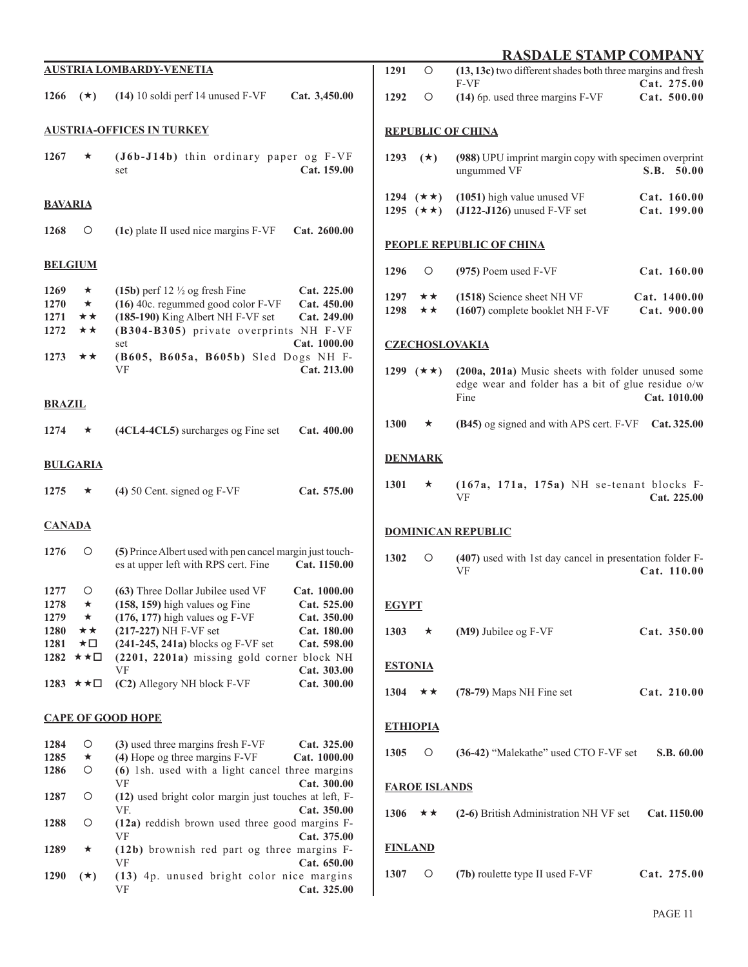|                                                      |                                       | <b>AUSTRIA LOMBARDY-VENETIA</b>                                                                                                                                                                                                                                                                                                                                       | 12                                          |  |  |  |  |  |
|------------------------------------------------------|---------------------------------------|-----------------------------------------------------------------------------------------------------------------------------------------------------------------------------------------------------------------------------------------------------------------------------------------------------------------------------------------------------------------------|---------------------------------------------|--|--|--|--|--|
| 1266                                                 | $(\star)$                             | $(14)$ 10 soldi perf 14 unused F-VF<br>Cat. 3,450.00                                                                                                                                                                                                                                                                                                                  | $12^{\circ}$                                |  |  |  |  |  |
|                                                      |                                       | <b>AUSTRIA-OFFICES IN TURKEY</b>                                                                                                                                                                                                                                                                                                                                      | R <sub>I</sub>                              |  |  |  |  |  |
| 1267                                                 | ★                                     | (J6b-J14b) thin ordinary paper og F-VF<br>Cat. 159.00<br>set                                                                                                                                                                                                                                                                                                          | 12                                          |  |  |  |  |  |
| <b>BAVARIA</b>                                       |                                       |                                                                                                                                                                                                                                                                                                                                                                       | 12<br>12 <sub>2</sub>                       |  |  |  |  |  |
| 1268                                                 | O                                     | Cat. 2600.00<br>(1c) plate II used nice margins F-VF                                                                                                                                                                                                                                                                                                                  | P <sub>F</sub>                              |  |  |  |  |  |
|                                                      | <b>BELGIUM</b>                        |                                                                                                                                                                                                                                                                                                                                                                       | $12^{\circ}$                                |  |  |  |  |  |
| 1269<br>1270<br>1271<br>1272<br>1273                 | $\star$<br>$\star$<br>★★<br>★★<br>**  | (15b) perf 12 $\frac{1}{2}$ og fresh Fine<br>Cat. 225.00<br>(16) 40c. regummed good color F-VF<br>Cat. 450.00<br>(185-190) King Albert NH F-VF set<br>Cat. 249.00<br>(B304-B305) private overprints NH F-VF<br>set<br>Cat. 1000.00<br>(B605, B605a, B605b) Sled Dogs NH F-<br>VF<br>Cat. 213.00                                                                       | $12^{\circ}$<br>12<br>Cz<br>12 <sub>2</sub> |  |  |  |  |  |
| <b>BRAZIL</b>                                        |                                       |                                                                                                                                                                                                                                                                                                                                                                       |                                             |  |  |  |  |  |
| 1274                                                 | *                                     | (4CL4-4CL5) surcharges og Fine set<br>Cat. 400.00                                                                                                                                                                                                                                                                                                                     | 13                                          |  |  |  |  |  |
|                                                      | <b>BULGARIA</b>                       |                                                                                                                                                                                                                                                                                                                                                                       | <u>DF</u>                                   |  |  |  |  |  |
| 1275                                                 | $\star$                               | $(4)$ 50 Cent. signed og F-VF<br>Cat. 575.00                                                                                                                                                                                                                                                                                                                          | 13                                          |  |  |  |  |  |
| <b>CANADA</b>                                        |                                       |                                                                                                                                                                                                                                                                                                                                                                       | <u>D(</u>                                   |  |  |  |  |  |
| 1276                                                 | О                                     | (5) Prince Albert used with pen cancel margin just touch-<br>es at upper left with RPS cert. Fine<br>Cat. 1150.00                                                                                                                                                                                                                                                     | 13                                          |  |  |  |  |  |
| 1277<br>1278<br>1279<br>1280<br>1281<br>1282<br>1283 | О<br>★<br>★<br>★★<br>★□<br>★★□<br>★★□ | (63) Three Dollar Jubilee used VF<br>Cat. 1000.00<br>$(158, 159)$ high values og Fine<br>Cat. 525.00<br>$(176, 177)$ high values og F-VF<br>Cat. 350.00<br>(217-227) NH F-VF set<br>Cat. 180.00<br>(241-245, 241a) blocks og F-VF set<br>Cat. 598.00<br>(2201, 2201a) missing gold corner block NH<br>VF<br>Cat. 303.00<br>(C2) Allegory NH block F-VF<br>Cat. 300.00 | <u>EC</u><br>13<br><b>ES</b><br>13          |  |  |  |  |  |
| <b>CAPE OF GOOD HOPE</b><br>E1                       |                                       |                                                                                                                                                                                                                                                                                                                                                                       |                                             |  |  |  |  |  |
| 1284<br>1285<br>1286                                 | О<br>*<br>О                           | (3) used three margins fresh F-VF<br>Cat. 325.00<br>(4) Hope og three margins F-VF<br>Cat. 1000.00<br>(6) 1sh. used with a light cancel three margins<br>VF<br>Cat. 300.00                                                                                                                                                                                            | 13                                          |  |  |  |  |  |
| 1287                                                 | O                                     | (12) used bright color margin just touches at left, F-<br>VF.<br>Cat. 350.00                                                                                                                                                                                                                                                                                          | <u>FA</u>                                   |  |  |  |  |  |
| 1288                                                 | O                                     | (12a) reddish brown used three good margins F-<br>VF<br>Cat. 375.00                                                                                                                                                                                                                                                                                                   | 13                                          |  |  |  |  |  |
| 1289                                                 | ★                                     | (12b) brownish red part og three margins F-<br>VF<br>Cat. 650.00                                                                                                                                                                                                                                                                                                      | <u>FI</u>                                   |  |  |  |  |  |
| 1290                                                 | $(\star)$                             | (13) 4p. unused bright color nice margins<br>Cat. 325.00<br>VF                                                                                                                                                                                                                                                                                                        | 13 <sup>1</sup>                             |  |  |  |  |  |

|                |                                              | <b>RASDALE STAMP COMPANY</b>                                                                                    |                             |
|----------------|----------------------------------------------|-----------------------------------------------------------------------------------------------------------------|-----------------------------|
| 1291           | $\circ$                                      | (13, 13c) two different shades both three margins and fresh                                                     |                             |
| 1292           | О                                            | F-VF<br>(14) 6p. used three margins F-VF                                                                        | Cat. 275.00<br>Cat. 500.00  |
|                |                                              | <b>REPUBLIC OF CHINA</b>                                                                                        |                             |
| 1293           | $(\star)$                                    | (988) UPU imprint margin copy with specimen overprint<br>ungummed VF                                            | S.B. 50.00                  |
|                | 1294 $(\star \star)$<br>1295 $(\star \star)$ | (1051) high value unused VF<br>$(J122-J126)$ unused F-VF set                                                    | Cat. 160.00<br>Cat. 199.00  |
|                |                                              | <u>PEOPLE REPUBLIC OF CHINA</u>                                                                                 |                             |
| 1296           | Ο                                            | $(975)$ Poem used F-VF                                                                                          | Cat. 160.00                 |
| 1298           | 1297 $\star \star$<br>★★                     | (1518) Science sheet NH VF<br>(1607) complete booklet NH F-VF                                                   | Cat. 1400.00<br>Cat. 900.00 |
|                |                                              | <b>CZECHOSLOVAKIA</b>                                                                                           |                             |
| 1299           | $(\star \star)$                              | (200a, 201a) Music sheets with folder unused some<br>edge wear and folder has a bit of glue residue o/w<br>Fine | Cat. 1010.00                |
| 1300           | $\star$                                      | (B45) og signed and with APS cert. F-VF                                                                         | Cat. 325.00                 |
|                | <u>DENMARK</u>                               |                                                                                                                 |                             |
| 1301           | ★                                            | $(167a, 171a, 175a)$ NH se-tenant blocks F-<br>VF                                                               | Cat. 225.00                 |
|                |                                              | <b>DOMINICAN REPUBLIC</b>                                                                                       |                             |
| 1302           | Ο                                            | (407) used with 1st day cancel in presentation folder F-<br>VF                                                  | Cat. 110.00                 |
| <u>EGYPT</u>   |                                              |                                                                                                                 |                             |
|                |                                              | 1303 $\star$ (M9) Jubilee og F-VF                                                                               | Cat. 350.00                 |
| <b>ESTONIA</b> |                                              |                                                                                                                 |                             |
|                |                                              | 1304 $\star \star$ (78-79) Maps NH Fine set                                                                     | Cat. 210.00                 |
|                | <b>ETHIOPIA</b>                              |                                                                                                                 |                             |
|                |                                              | 1305 O (36-42) "Malekathe" used CTO F-VF set S.B. 60.00                                                         |                             |
|                | <b>FAROE ISLANDS</b>                         |                                                                                                                 |                             |
|                |                                              | 1306 $\star \star$ (2-6) British Administration NH VF set Cat. 1150.00                                          |                             |
|                | <b>FINLAND</b>                               |                                                                                                                 |                             |
| 1307           | $\circ$                                      | (7b) roulette type II used F-VF                                                                                 | Cat. 275.00                 |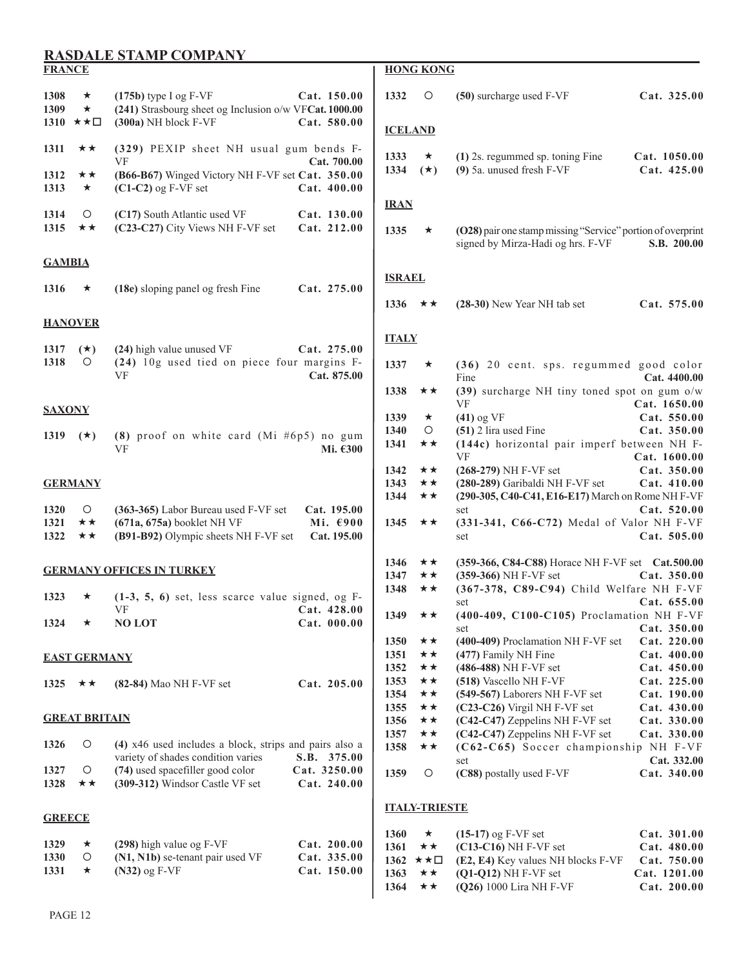| <b>FRANCE</b>        |                                         |                                                                                                              |                                        |                        | <b>HONG KONG</b>     |                                                                                                  |                             |
|----------------------|-----------------------------------------|--------------------------------------------------------------------------------------------------------------|----------------------------------------|------------------------|----------------------|--------------------------------------------------------------------------------------------------|-----------------------------|
| 1308<br>1309         | ★<br>$\star$<br>1310 $\star \star \Box$ | $(175b)$ type I og F-VF<br>(241) Strasbourg sheet og Inclusion o/w VFCat. 1000.00<br>(300a) NH block F-VF    | Cat. 150.00<br>Cat. 580.00             | 1332<br><b>ICELAND</b> | $\circ$              | (50) surcharge used F-VF                                                                         | Cat. 325.00                 |
| 1311                 | ★★                                      | (329) PEXIP sheet NH usual gum bends F-                                                                      |                                        |                        |                      |                                                                                                  |                             |
| 1312<br>1313         | **<br>$\star$                           | VF<br>(B66-B67) Winged Victory NH F-VF set Cat. 350.00<br>$(C1-C2)$ og F-VF set                              | Cat. 700.00<br>Cat.400.00              | 1333<br>1334           | $\star$<br>$(\star)$ | (1) 2s. regummed sp. toning Fine<br>(9) 5a. unused fresh F-VF                                    | Cat. 1050.00<br>Cat. 425.00 |
| 1314                 | O                                       | (C17) South Atlantic used VF                                                                                 | Cat. 130.00                            | <b>IRAN</b>            |                      |                                                                                                  |                             |
| 1315                 | ★★                                      | (C23-C27) City Views NH F-VF set                                                                             | Cat. 212.00                            | 1335                   | $\star$              | (O28) pair one stamp missing "Service" portion of overprint<br>signed by Mirza-Hadi og hrs. F-VF | S.B. 200.00                 |
| <b>GAMBIA</b>        |                                         |                                                                                                              |                                        |                        |                      |                                                                                                  |                             |
| 1316                 | ★                                       | (18e) sloping panel og fresh Fine                                                                            | Cat. 275.00                            | <b>ISRAEL</b><br>1336  | ★★                   | $(28-30)$ New Year NH tab set                                                                    | Cat. 575.00                 |
|                      | <b>HANOVER</b>                          |                                                                                                              |                                        |                        |                      |                                                                                                  |                             |
| 1317                 | $(*)$                                   | (24) high value unused VF                                                                                    | Cat. 275.00                            | <b>ITALY</b>           |                      |                                                                                                  |                             |
| 1318                 | O                                       | (24) 10g used tied on piece four margins F-<br>VF                                                            | Cat. 875.00                            | 1337                   | $\star$              | (36) 20 cent. sps. regummed good color<br>Fine                                                   | Cat. 4400.00                |
| <b>SAXONY</b>        |                                         |                                                                                                              |                                        | 1338                   | ★★                   | (39) surcharge NH tiny toned spot on gum o/w<br><b>VF</b>                                        | Cat. 1650.00                |
|                      |                                         |                                                                                                              |                                        | 1339<br>1340           | $\star$<br>$\circ$   | $(41)$ og VF<br>(51) 2 lira used Fine                                                            | Cat. 550.00<br>Cat. 350.00  |
| 1319                 | $(\star)$                               | (8) proof on white card (Mi #6p5) no gum<br>VF                                                               | Mi. €300                               | 1341                   | ★★                   | (144c) horizontal pair imperf between NH F-<br>VF                                                | Cat. 1600.00                |
|                      |                                         |                                                                                                              |                                        | 1342                   | ★★                   | $(268-279)$ NH F-VF set                                                                          | Cat. 350.00                 |
|                      | <b>GERMANY</b>                          |                                                                                                              |                                        | 1343<br>1344           | ★★<br>★★             | (280-289) Garibaldi NH F-VF set<br>(290-305, C40-C41, E16-E17) March on Rome NH F-VF             | Cat. 410.00                 |
| 1320<br>1321<br>1322 | $\circ$<br>**<br>**                     | (363-365) Labor Bureau used F-VF set<br>$(671a, 675a)$ booklet NH VF<br>(B91-B92) Olympic sheets NH F-VF set | Cat. 195.00<br>Mi. €900<br>Cat. 195.00 | 1345                   | ★★                   | set<br>(331-341, C66-C72) Medal of Valor NH F-VF<br>set                                          | Cat. 520.00<br>Cat. 505.00  |
|                      |                                         |                                                                                                              |                                        |                        |                      |                                                                                                  |                             |
|                      |                                         | <b>GERMANY OFFICES IN TURKEY</b>                                                                             |                                        | 1346<br>1347           | ★★<br>★★             | (359-366, C84-C88) Horace NH F-VF set Cat.500.00<br>(359-366) NH F-VF set                        | Cat. 350.00                 |
| 1323                 | ★                                       | $(1-3, 5, 6)$ set, less scarce value signed, og F-                                                           |                                        | 1348                   | ★★                   | (367-378, C89-C94) Child Welfare NH F-VF                                                         |                             |
|                      |                                         | VF                                                                                                           | Cat. 428.00                            | 1349                   | ★★                   | set<br>(400-409, C100-C105) Proclamation NH F-VF                                                 | Cat. 655.00                 |
| 1324                 | ★                                       | <b>NO LOT</b>                                                                                                | Cat. 000.00                            |                        |                      | set                                                                                              | Cat. 350.00                 |
|                      |                                         |                                                                                                              |                                        | 1350                   | ★★                   | (400-409) Proclamation NH F-VF set                                                               | Cat. 220.00                 |
|                      | <b>EAST GERMANY</b>                     |                                                                                                              |                                        | 1351                   | ★★                   | (477) Family NH Fine                                                                             | Cat.400.00                  |
|                      |                                         |                                                                                                              | Cat. 205.00                            | 1352<br>1353           | $\star\star$<br>★★   | $(486-488)$ NH F-VF set<br>(518) Vascello NH F-VF                                                | Cat. 450.00<br>Cat. 225.00  |
| 1325                 | ★★                                      | $(82-84)$ Mao NH F-VF set                                                                                    |                                        | 1354                   | ★★                   | (549-567) Laborers NH F-VF set                                                                   | Cat. 190.00                 |
|                      |                                         |                                                                                                              |                                        | 1355                   | ★★                   | $(C23-C26)$ Virgil NH F-VF set                                                                   | Cat. 430.00                 |
|                      | <b>GREAT BRITAIN</b>                    |                                                                                                              |                                        | 1356                   | ★★                   | (C42-C47) Zeppelins NH F-VF set                                                                  | Cat. 330.00                 |
| 1326                 | O                                       | (4) x46 used includes a block, strips and pairs also a                                                       |                                        | 1357                   | ★★                   | (C42-C47) Zeppelins NH F-VF set<br>(C62-C65) Soccer championship NH F-VF                         | Cat. 330.00                 |
|                      |                                         | variety of shades condition varies                                                                           | S.B. 375.00                            | 1358                   | ★★                   | set                                                                                              | Cat. 332.00                 |
| 1327<br>1328         | O<br>★★                                 | (74) used spacefiller good color<br>(309-312) Windsor Castle VF set                                          | Cat. 3250.00<br>Cat. 240.00            | 1359                   | $\circ$              | (C88) postally used F-VF                                                                         | Cat. 340.00                 |
| <b>GREECE</b>        |                                         |                                                                                                              |                                        |                        | <b>ITALY-TRIESTE</b> |                                                                                                  |                             |
| 1329                 | $\star$                                 |                                                                                                              |                                        | 1360                   | $\star$              | $(15-17)$ og F-VF set                                                                            | Cat. 301.00                 |
| 1330                 | O                                       | (298) high value og F-VF<br>(N1, N1b) se-tenant pair used VF                                                 | Cat. 200.00<br>Cat. 335.00             | 1361                   | ★★<br>★★□            | $(C13-C16)$ NH F-VF set                                                                          | Cat. 480.00                 |
| 1331                 | $\star$                                 | $(N32)$ og F-VF                                                                                              | Cat. 150.00                            | 1362<br>1363           | $\star\star$         | (E2, E4) Key values NH blocks F-VF<br>$(Q1-Q12)$ NH F-VF set                                     | Cat. 750.00<br>Cat. 1201.00 |
|                      |                                         |                                                                                                              |                                        | 1364                   | ★★                   | (Q26) 1000 Lira NH F-VF                                                                          | Cat. 200.00                 |
|                      |                                         |                                                                                                              |                                        |                        |                      |                                                                                                  |                             |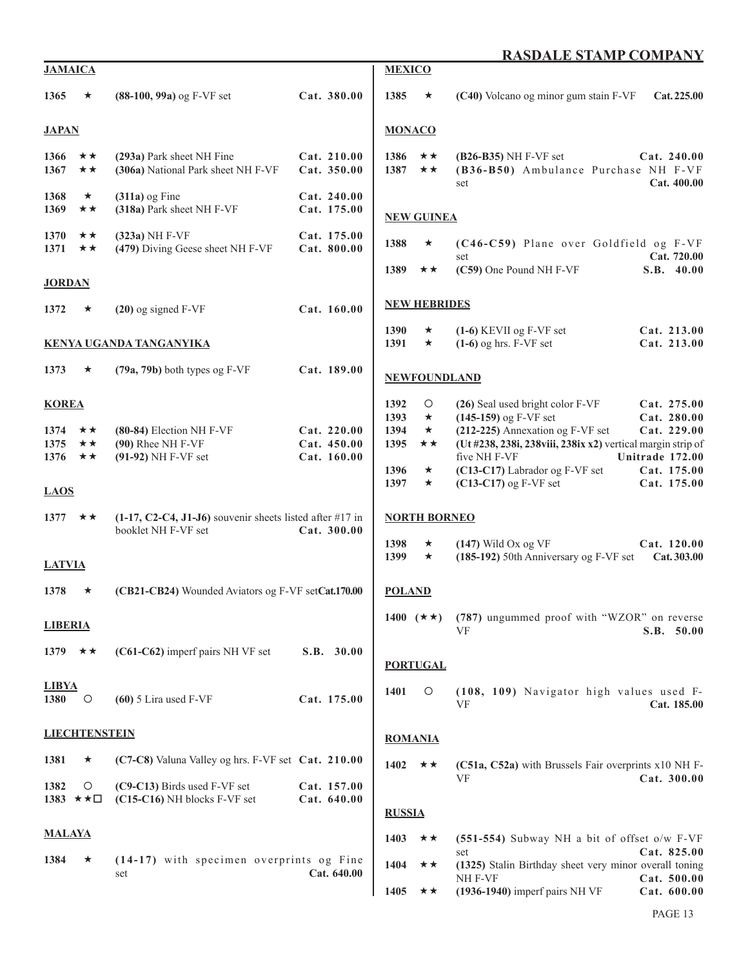| <b>JAMAICA</b>                                      |                                 |                                                                                   |                                           | <b>MEXICO</b>                                |                                                           |                                                                                                                                                                                                                                             |                                                                                            |
|-----------------------------------------------------|---------------------------------|-----------------------------------------------------------------------------------|-------------------------------------------|----------------------------------------------|-----------------------------------------------------------|---------------------------------------------------------------------------------------------------------------------------------------------------------------------------------------------------------------------------------------------|--------------------------------------------------------------------------------------------|
| 1365                                                | ★                               | $(88-100, 99a)$ og F-VF set                                                       | Cat. 380.00                               | 1385                                         | $\star$                                                   | (C40) Volcano og minor gum stain F-VF                                                                                                                                                                                                       | Cat. 225.00                                                                                |
| <b>JAPAN</b>                                        |                                 |                                                                                   |                                           | <b>MONACO</b>                                |                                                           |                                                                                                                                                                                                                                             |                                                                                            |
| 1366<br>1367                                        | ★★<br>★★                        | (293a) Park sheet NH Fine<br>(306a) National Park sheet NH F-VF                   | Cat. 210.00<br>Cat. 350.00                | 1386<br>1387                                 | ★★<br>★★                                                  | (B26-B35) NH F-VF set<br>(B36-B50) Ambulance Purchase NH F-VF<br>set                                                                                                                                                                        | Cat. 240.00<br>Cat. 400.00                                                                 |
| 1368<br>1369                                        | ★<br>★★                         | $(311a)$ og Fine<br>(318a) Park sheet NH F-VF                                     | Cat. 240.00<br>Cat. 175.00                |                                              | <b>NEW GUINEA</b>                                         |                                                                                                                                                                                                                                             |                                                                                            |
| 1370<br>1371                                        | ★★<br>★★                        | (323a) NH F-VF<br>(479) Diving Geese sheet NH F-VF                                | Cat. 175.00<br>Cat. 800.00                | 1388                                         | $\star$                                                   | (C46-C59) Plane over Goldfield og F-VF<br>set                                                                                                                                                                                               | Cat. 720.00                                                                                |
| <b>JORDAN</b>                                       |                                 |                                                                                   |                                           | 1389                                         | ★★                                                        | (C59) One Pound NH F-VF                                                                                                                                                                                                                     | S.B. 40.00                                                                                 |
| 1372                                                | ★                               | $(20)$ og signed F-VF                                                             | Cat. 160.00                               |                                              | <b>NEW HEBRIDES</b>                                       |                                                                                                                                                                                                                                             |                                                                                            |
|                                                     |                                 | <b>KENYA UGANDA TANGANYIKA</b>                                                    |                                           | 1390<br>1391                                 | $\star$<br>$\star$                                        | $(1-6)$ KEVII og F-VF set<br>$(1-6)$ og hrs. F-VF set                                                                                                                                                                                       | Cat. 213.00<br>Cat. 213.00                                                                 |
| 1373                                                | ★                               | (79a, 79b) both types og F-VF                                                     | Cat. 189.00                               |                                              | <b>NEWFOUNDLAND</b>                                       |                                                                                                                                                                                                                                             |                                                                                            |
| <b>KOREA</b><br>1374<br>1375<br>1376<br><b>LAOS</b> | ★★<br>★★<br>★★                  | (80-84) Election NH F-VF<br>(90) Rhee NH F-VF<br>$(91-92)$ NH F-VF set            | Cat. 220.00<br>Cat. 450.00<br>Cat. 160.00 | 1392<br>1393<br>1394<br>1395<br>1396<br>1397 | $\circ$<br>$\star$<br>$\star$<br>★★<br>$\star$<br>$\star$ | (26) Seal used bright color F-VF<br>$(145-159)$ og F-VF set<br>(212-225) Annexation og F-VF set<br>(Ut #238, 238i, 238viii, 238ix x2) vertical margin strip of<br>five NH F-VF<br>(C13-C17) Labrador og F-VF set<br>$(C13-C17)$ og F-VF set | Cat. 275.00<br>Cat. 280.00<br>Cat. 229.00<br>Unitrade 172.00<br>Cat. 175.00<br>Cat. 175.00 |
| 1377 $\star \star$                                  |                                 | $(1-17, C2-C4, J1-J6)$ souvenir sheets listed after #17 in<br>booklet NH F-VF set | Cat. 300.00                               | 1398<br>1399                                 | <b>NORTH BORNEO</b><br>$\star$<br>$\star$                 | $(147)$ Wild Ox og VF<br>(185-192) 50th Anniversary og F-VF set                                                                                                                                                                             | Cat. 120.00<br>Cat. 303.00                                                                 |
| <b>LATVIA</b>                                       |                                 |                                                                                   |                                           |                                              |                                                           |                                                                                                                                                                                                                                             |                                                                                            |
| 1378                                                | ★                               | (CB21-CB24) Wounded Aviators og F-VF setCat.170.00                                |                                           | <b>POLAND</b>                                |                                                           |                                                                                                                                                                                                                                             |                                                                                            |
| <b>LIBERIA</b>                                      |                                 |                                                                                   |                                           |                                              |                                                           | 1400 ( $\star \star$ ) (787) ungummed proof with "WZOR" on reverse<br>VF                                                                                                                                                                    | S.B. 50.00                                                                                 |
| 1379 $\star \star$                                  |                                 | (C61-C62) imperf pairs NH VF set                                                  | S.B. 30.00                                | <b>PORTUGAL</b>                              |                                                           |                                                                                                                                                                                                                                             |                                                                                            |
| <b>LIBYA</b><br>1380                                | $\circ$                         | $(60)$ 5 Lira used F-VF                                                           | Cat. 175.00                               | 1401                                         | O                                                         | (108, 109) Navigator high values used F-<br>VF                                                                                                                                                                                              | Cat. 185.00                                                                                |
|                                                     | <b>LIECHTENSTEIN</b>            |                                                                                   |                                           | <b>ROMANIA</b>                               |                                                           |                                                                                                                                                                                                                                             |                                                                                            |
| 1381                                                | ★                               | (C7-C8) Valuna Valley og hrs. F-VF set Cat. 210.00                                |                                           | 1402                                         | ★★                                                        | (C51a, C52a) with Brussels Fair overprints x10 NH F-                                                                                                                                                                                        |                                                                                            |
| 1382                                                | O<br>1383 $\star \star \square$ | (C9-C13) Birds used F-VF set<br>(C15-C16) NH blocks F-VF set                      | Cat. 157.00<br>Cat. 640.00                | <b>RUSSIA</b>                                |                                                           | VF                                                                                                                                                                                                                                          | Cat. 300.00                                                                                |
| <b>MALAYA</b>                                       |                                 |                                                                                   |                                           | 1403                                         | ★★                                                        | $(551-554)$ Subway NH a bit of offset o/w F-VF                                                                                                                                                                                              |                                                                                            |
| 1384                                                | ★                               | (14-17) with specimen overprints og Fine<br>set                                   | Cat. 640.00                               | 1404                                         | ★★                                                        | set<br>(1325) Stalin Birthday sheet very minor overall toning<br>NH F-VF                                                                                                                                                                    | Cat. 825.00<br>Cat. 500.00                                                                 |
|                                                     |                                 |                                                                                   |                                           | 1405                                         | **                                                        | $(1936-1940)$ imperf pairs NH VF                                                                                                                                                                                                            | Cat. 600.00                                                                                |
|                                                     |                                 |                                                                                   |                                           |                                              |                                                           |                                                                                                                                                                                                                                             | PAGE 13                                                                                    |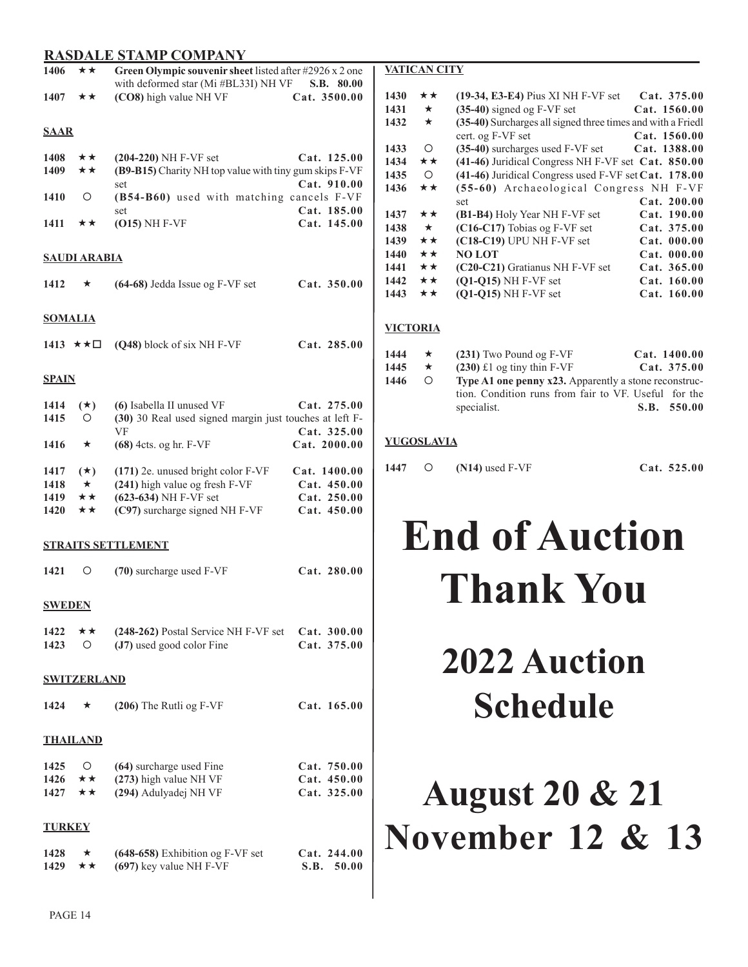| 1406               | Green Olympic souvenir sheet listed after #2926 x 2 one<br>★★<br>with deformed star (Mi #BL33I) NH VF<br>S.B. 80.00 |                                                                                   |                              |  |  |  |  |  |
|--------------------|---------------------------------------------------------------------------------------------------------------------|-----------------------------------------------------------------------------------|------------------------------|--|--|--|--|--|
| 1407               | ★★                                                                                                                  | (CO8) high value NH VF                                                            | Cat. 3500.00                 |  |  |  |  |  |
| <u>SAAR</u>        |                                                                                                                     |                                                                                   |                              |  |  |  |  |  |
| 1408<br>1409       | **<br>**                                                                                                            | $(204-220)$ NH F-VF set<br>(B9-B15) Charity NH top value with tiny gum skips F-VF | Cat. 125.00                  |  |  |  |  |  |
|                    |                                                                                                                     | set                                                                               | Cat. 910.00                  |  |  |  |  |  |
| 1410               | О                                                                                                                   | (B54-B60) used with matching cancels F-VF<br>set                                  | Cat. 185.00                  |  |  |  |  |  |
| 1411               | ★★                                                                                                                  | $(015)$ NH F-VF                                                                   | Cat. 145.00                  |  |  |  |  |  |
|                    | <b>SAUDI ARABIA</b>                                                                                                 |                                                                                   |                              |  |  |  |  |  |
| 1412               | ★                                                                                                                   | (64-68) Jedda Issue og F-VF set                                                   | Cat. 350.00                  |  |  |  |  |  |
| <b>SOMALIA</b>     |                                                                                                                     |                                                                                   |                              |  |  |  |  |  |
|                    | 1413 ★★□                                                                                                            | (Q48) block of six NH F-VF                                                        | Cat. 285.00                  |  |  |  |  |  |
| <u>SPAIN</u>       |                                                                                                                     |                                                                                   |                              |  |  |  |  |  |
| 1414               | $(\star)$                                                                                                           | (6) Isabella II unused VF                                                         | Cat. 275.00                  |  |  |  |  |  |
| 1415               | O                                                                                                                   | (30) 30 Real used signed margin just touches at left F-<br>VF                     | Cat. 325.00                  |  |  |  |  |  |
| 1416               | $\star$                                                                                                             | (68) 4cts. og hr. F-VF                                                            | Cat. 2000.00                 |  |  |  |  |  |
| 1417               | $(\star)$                                                                                                           | (171) 2e. unused bright color F-VF                                                | Cat. 1400.00                 |  |  |  |  |  |
| 1418<br>1419       | $\star$<br>**                                                                                                       | (241) high value og fresh F-VF<br>(623-634) NH F-VF set                           | Cat. 450.00<br>Cat. 250.00   |  |  |  |  |  |
| 1420               | ★★                                                                                                                  | (C97) surcharge signed NH F-VF                                                    | Cat. 450.00                  |  |  |  |  |  |
|                    |                                                                                                                     | <b>STRAITS SETTLEMENT</b>                                                         |                              |  |  |  |  |  |
| 1421               | О                                                                                                                   | (70) surcharge used F-VF                                                          | Cat. 280.00                  |  |  |  |  |  |
| <b>SWEDEN</b>      |                                                                                                                     |                                                                                   |                              |  |  |  |  |  |
| 1422               | ★★                                                                                                                  | (248-262) Postal Service NH F-VF set                                              | Cat. 300.00                  |  |  |  |  |  |
| 1423               | O                                                                                                                   | (J7) used good color Fine                                                         | Cat. 375.00                  |  |  |  |  |  |
| <b>SWITZERLAND</b> |                                                                                                                     |                                                                                   |                              |  |  |  |  |  |
| 1424               | ★                                                                                                                   | $(206)$ The Rutli og F-VF                                                         | Cat. 165.00                  |  |  |  |  |  |
|                    | <b>THAILAND</b>                                                                                                     |                                                                                   |                              |  |  |  |  |  |
| 1425               | $\circ$                                                                                                             | (64) surcharge used Fine                                                          | Cat. 750.00                  |  |  |  |  |  |
| 1426<br>1427       | ★★<br>**                                                                                                            | (273) high value NH VF<br>(294) Adulyadej NH VF                                   | Cat. 450.00<br>Cat. 325.00   |  |  |  |  |  |
| <b>TURKEY</b>      |                                                                                                                     |                                                                                   |                              |  |  |  |  |  |
|                    |                                                                                                                     |                                                                                   |                              |  |  |  |  |  |
| 1428<br>1429       | $\star$<br>★★                                                                                                       | (648-658) Exhibition og F-VF set<br>(697) key value NH F-VF                       | Cat. 244.00<br>50.00<br>S.B. |  |  |  |  |  |

#### **VATICAN CITY**

| 1430 | **      | $(19-34, E3-E4)$ Pius XI NH F-VF set                        | Cat. 375.00  |
|------|---------|-------------------------------------------------------------|--------------|
| 1431 | $\star$ | $(35-40)$ signed og F-VF set                                | Cat. 1560.00 |
| 1432 | *       | (35-40) Surcharges all signed three times and with a Friedl |              |
|      |         | cert. og F-VF set                                           | Cat. 1560.00 |
| 1433 | О       | (35-40) surcharges used F-VF set                            | Cat. 1388.00 |
| 1434 | **      | $(41-46)$ Juridical Congress NH F-VF set Cat. 850.00        |              |
| 1435 | $\circ$ | $(41-46)$ Juridical Congress used F-VF set Cat. 178.00      |              |
| 1436 | **      | (55-60) Archaeological Congress NH F-VF                     |              |
|      |         | set                                                         | Cat. 200.00  |
| 1437 | **      | (B1-B4) Holy Year NH F-VF set                               | Cat. 190.00  |
| 1438 | $\star$ | $(C16-C17)$ Tobias og F-VF set                              | Cat. 375.00  |
| 1439 | **      | (C18-C19) UPU NH F-VF set                                   | Cat. 000.00  |
| 1440 | **      | <b>NO LOT</b>                                               | Cat. 000.00  |
| 1441 | **      | $(C20-C21)$ Gratianus NH F-VF set                           | Cat. 365.00  |
| 1442 | **      | $(O1-O15)$ NH F-VF set                                      | Cat. 160.00  |
| 1443 | **      | $(O1-O15)$ NH F-VF set                                      | Cat. 160.00  |
|      |         |                                                             |              |

#### **VICTORIA**

| 1444 | $\star$ | $(231)$ Two Pound og F-VF                                                 | Cat. 1400.00 |
|------|---------|---------------------------------------------------------------------------|--------------|
| 1445 | $\star$ | $(230)$ £1 og tiny thin F-VF                                              | Cat. 375.00  |
| 1446 | $\circ$ | <b>Type A1 one penny <math>x23</math>.</b> Apparently a stone reconstruc- |              |
|      |         | tion. Condition runs from fair to VF. Useful for the                      |              |
|      |         | specialist.                                                               | S.B. 550.00  |
|      |         |                                                                           |              |

#### **YUGOSLAVIA**

**1447 (N14)** used F-VF **Cat. 525.00**

# **End of Auction Thank You**

# **2022 Auction Schedule**

## **August 20 & 21 November 12 & 13**